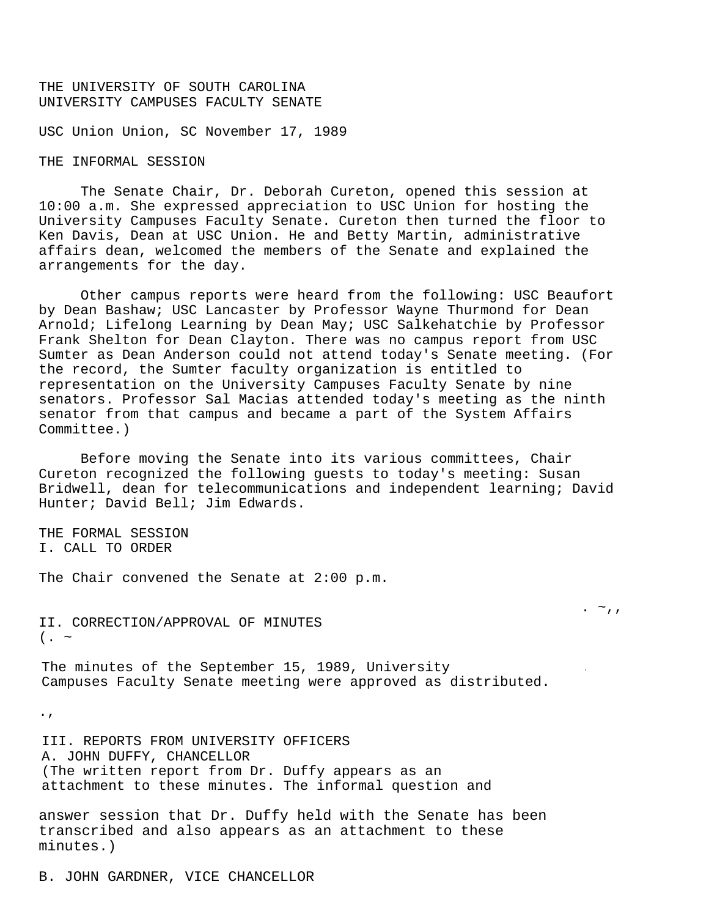# THE UNIVERSITY OF SOUTH CAROLINA UNIVERSITY CAMPUSES FACULTY SENATE

USC Union Union, SC November 17, 1989

#### THE INFORMAL SESSION

The Senate Chair, Dr. Deborah Cureton, opened this session at 10:00 a.m. She expressed appreciation to USC Union for hosting the University Campuses Faculty Senate. Cureton then turned the floor to Ken Davis, Dean at USC Union. He and Betty Martin, administrative affairs dean, welcomed the members of the Senate and explained the arrangements for the day.

Other campus reports were heard from the following: USC Beaufort by Dean Bashaw; USC Lancaster by Professor Wayne Thurmond for Dean Arnold; Lifelong Learning by Dean May; USC Salkehatchie by Professor Frank Shelton for Dean Clayton. There was no campus report from USC Sumter as Dean Anderson could not attend today's Senate meeting. (For the record, the Sumter faculty organization is entitled to representation on the University Campuses Faculty Senate by nine senators. Professor Sal Macias attended today's meeting as the ninth senator from that campus and became a part of the System Affairs Committee.)

Before moving the Senate into its various committees, Chair Cureton recognized the following guests to today's meeting: Susan Bridwell, dean for telecommunications and independent learning; David Hunter; David Bell; Jim Edwards.

.  $\sim$ ,,

THE FORMAL SESSION I. CALL TO ORDER

The Chair convened the Senate at 2:00 p.m.

II. CORRECTION/APPROVAL OF MINUTES  $($ . ~

The minutes of the September 15, 1989, University Campuses Faculty Senate meeting were approved as distributed.

.,

III. REPORTS FROM UNIVERSITY OFFICERS A. JOHN DUFFY, CHANCELLOR (The written report from Dr. Duffy appears as an attachment to these minutes. The informal question and

answer session that Dr. Duffy held with the Senate has been transcribed and also appears as an attachment to these minutes.)

B. JOHN GARDNER, VICE CHANCELLOR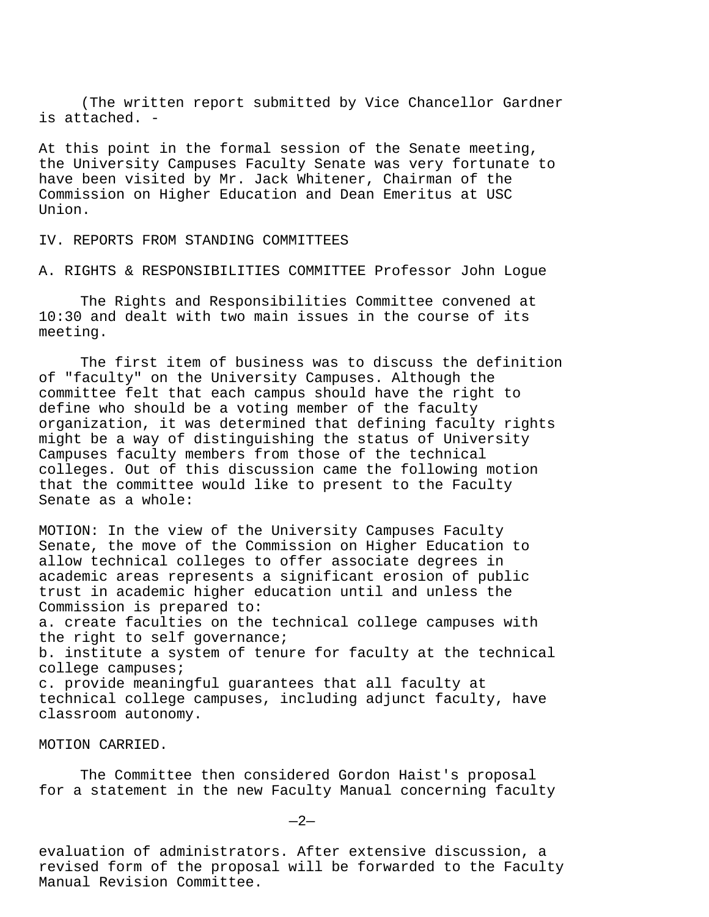(The written report submitted by Vice Chancellor Gardner is attached. -

At this point in the formal session of the Senate meeting, the University Campuses Faculty Senate was very fortunate to have been visited by Mr. Jack Whitener, Chairman of the Commission on Higher Education and Dean Emeritus at USC Union.

IV. REPORTS FROM STANDING COMMITTEES

A. RIGHTS & RESPONSIBILITIES COMMITTEE Professor John Logue

The Rights and Responsibilities Committee convened at 10:30 and dealt with two main issues in the course of its meeting.

The first item of business was to discuss the definition of "faculty" on the University Campuses. Although the committee felt that each campus should have the right to define who should be a voting member of the faculty organization, it was determined that defining faculty rights might be a way of distinguishing the status of University Campuses faculty members from those of the technical colleges. Out of this discussion came the following motion that the committee would like to present to the Faculty Senate as a whole:

MOTION: In the view of the University Campuses Faculty Senate, the move of the Commission on Higher Education to allow technical colleges to offer associate degrees in academic areas represents a significant erosion of public trust in academic higher education until and unless the Commission is prepared to:

a. create faculties on the technical college campuses with the right to self governance;

b. institute a system of tenure for faculty at the technical college campuses;

c. provide meaningful guarantees that all faculty at technical college campuses, including adjunct faculty, have classroom autonomy.

MOTION CARRIED.

The Committee then considered Gordon Haist's proposal for a statement in the new Faculty Manual concerning faculty

 $-2-$ 

evaluation of administrators. After extensive discussion, a revised form of the proposal will be forwarded to the Faculty Manual Revision Committee.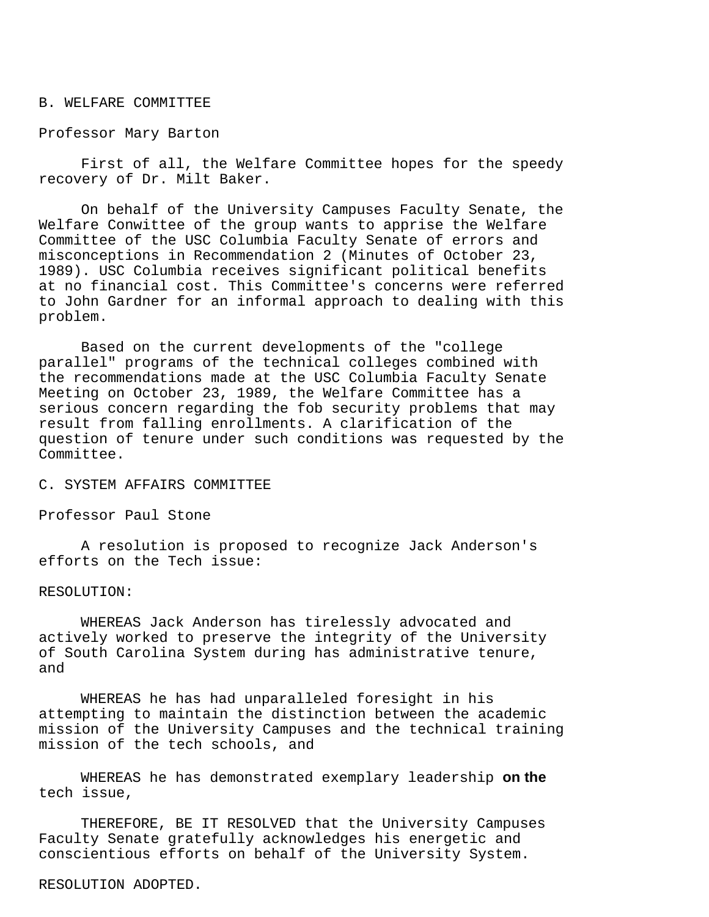## B. WELFARE COMMITTEE

## Professor Mary Barton

First of all, the Welfare Committee hopes for the speedy recovery of Dr. Milt Baker.

On behalf of the University Campuses Faculty Senate, the Welfare Conwittee of the group wants to apprise the Welfare Committee of the USC Columbia Faculty Senate of errors and misconceptions in Recommendation 2 (Minutes of October 23, 1989). USC Columbia receives significant political benefits at no financial cost. This Committee's concerns were referred to John Gardner for an informal approach to dealing with this problem.

Based on the current developments of the "college parallel" programs of the technical colleges combined with the recommendations made at the USC Columbia Faculty Senate Meeting on October 23, 1989, the Welfare Committee has a serious concern regarding the fob security problems that may result from falling enrollments. A clarification of the question of tenure under such conditions was requested by the Committee.

C. SYSTEM AFFAIRS COMMITTEE

Professor Paul Stone

A resolution is proposed to recognize Jack Anderson's efforts on the Tech issue:

#### RESOLUTION:

WHEREAS Jack Anderson has tirelessly advocated and actively worked to preserve the integrity of the University of South Carolina System during has administrative tenure, and

WHEREAS he has had unparalleled foresight in his attempting to maintain the distinction between the academic mission of the University Campuses and the technical training mission of the tech schools, and

WHEREAS he has demonstrated exemplary leadership **on the**  tech issue,

THEREFORE, BE IT RESOLVED that the University Campuses Faculty Senate gratefully acknowledges his energetic and conscientious efforts on behalf of the University System.

## RESOLUTION ADOPTED.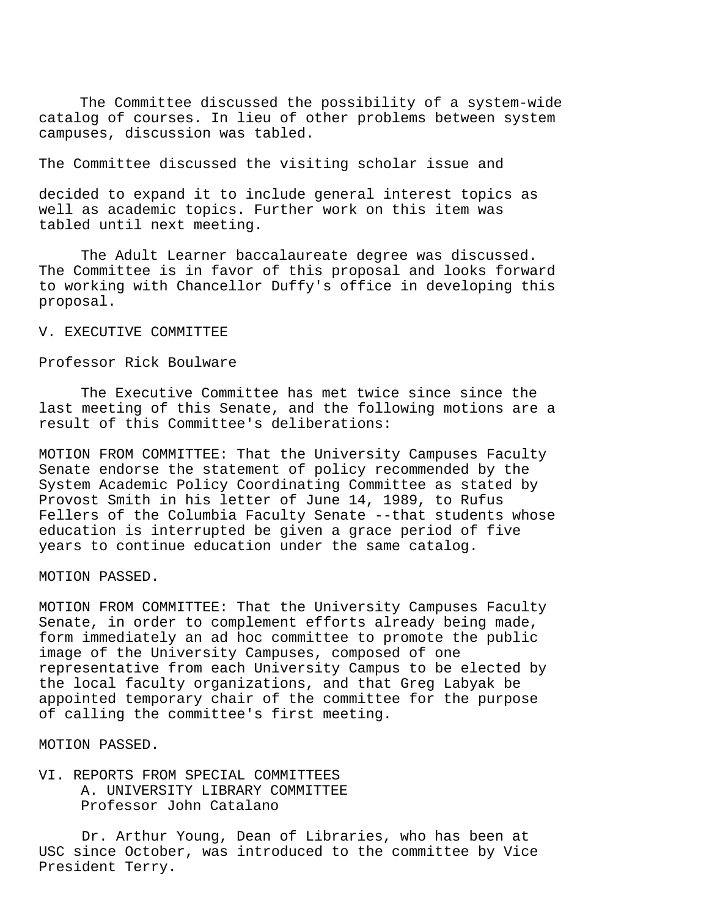The Committee discussed the possibility of a system-wide catalog of courses. In lieu of other problems between system campuses, discussion was tabled.

The Committee discussed the visiting scholar issue and

decided to expand it to include general interest topics as well as academic topics. Further work on this item was tabled until next meeting.

The Adult Learner baccalaureate degree was discussed. The Committee is in favor of this proposal and looks forward to working with Chancellor Duffy's office in developing this proposal.

## V. EXECUTIVE COMMITTEE

# Professor Rick Boulware

The Executive Committee has met twice since since the last meeting of this Senate, and the following motions are a result of this Committee's deliberations:

MOTION FROM COMMITTEE: That the University Campuses Faculty Senate endorse the statement of policy recommended by the System Academic Policy Coordinating Committee as stated by Provost Smith in his letter of June 14, 1989, to Rufus Fellers of the Columbia Faculty Senate --that students whose education is interrupted be given a grace period of five years to continue education under the same catalog.

MOTION PASSED.

MOTION FROM COMMITTEE: That the University Campuses Faculty Senate, in order to complement efforts already being made, form immediately an ad hoc committee to promote the public image of the University Campuses, composed of one representative from each University Campus to be elected by the local faculty organizations, and that Greg Labyak be appointed temporary chair of the committee for the purpose of calling the committee's first meeting.

MOTION PASSED.

VI. REPORTS FROM SPECIAL COMMITTEES A. UNIVERSITY LIBRARY COMMITTEE Professor John Catalano

Dr. Arthur Young, Dean of Libraries, who has been at USC since October, was introduced to the committee by Vice President Terry.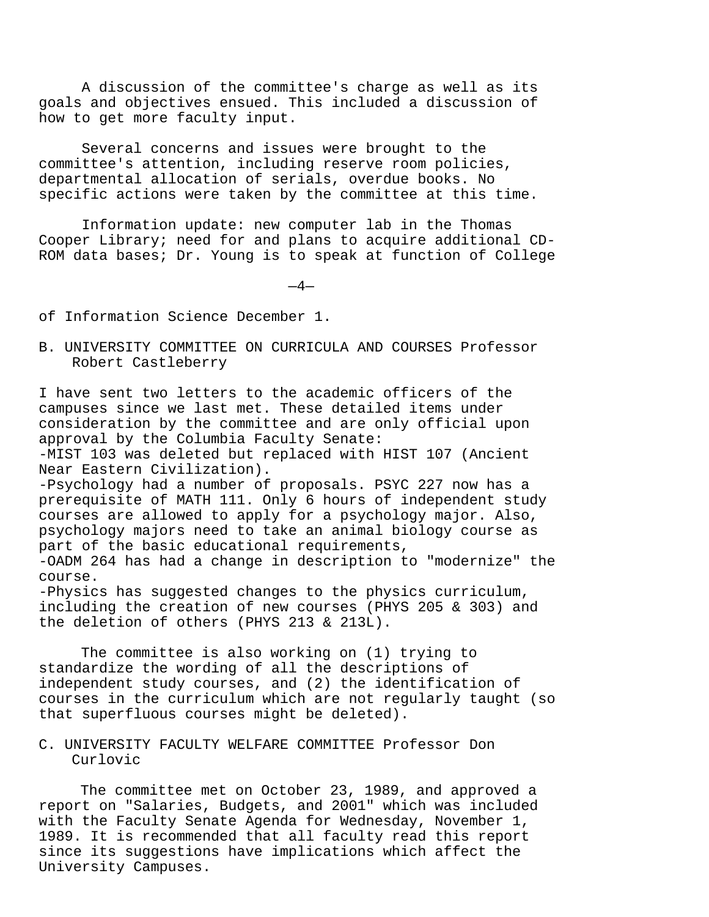A discussion of the committee's charge as well as its goals and objectives ensued. This included a discussion of how to get more faculty input.

Several concerns and issues were brought to the committee's attention, including reserve room policies, departmental allocation of serials, overdue books. No specific actions were taken by the committee at this time.

Information update: new computer lab in the Thomas Cooper Library; need for and plans to acquire additional CD-ROM data bases; Dr. Young is to speak at function of College

 $-4-$ 

of Information Science December 1.

B. UNIVERSITY COMMITTEE ON CURRICULA AND COURSES Professor Robert Castleberry

I have sent two letters to the academic officers of the campuses since we last met. These detailed items under consideration by the committee and are only official upon approval by the Columbia Faculty Senate: -MIST 103 was deleted but replaced with HIST 107 (Ancient Near Eastern Civilization). -Psychology had a number of proposals. PSYC 227 now has a prerequisite of MATH 111. Only 6 hours of independent study courses are allowed to apply for a psychology major. Also, psychology majors need to take an animal biology course as part of the basic educational requirements, -OADM 264 has had a change in description to "modernize" the course. -Physics has suggested changes to the physics curriculum,

including the creation of new courses (PHYS 205 & 303) and the deletion of others (PHYS 213 & 213L).

The committee is also working on (1) trying to standardize the wording of all the descriptions of independent study courses, and (2) the identification of courses in the curriculum which are not regularly taught (so that superfluous courses might be deleted).

# C. UNIVERSITY FACULTY WELFARE COMMITTEE Professor Don Curlovic

The committee met on October 23, 1989, and approved a report on "Salaries, Budgets, and 2001" which was included with the Faculty Senate Agenda for Wednesday, November 1, 1989. It is recommended that all faculty read this report since its suggestions have implications which affect the University Campuses.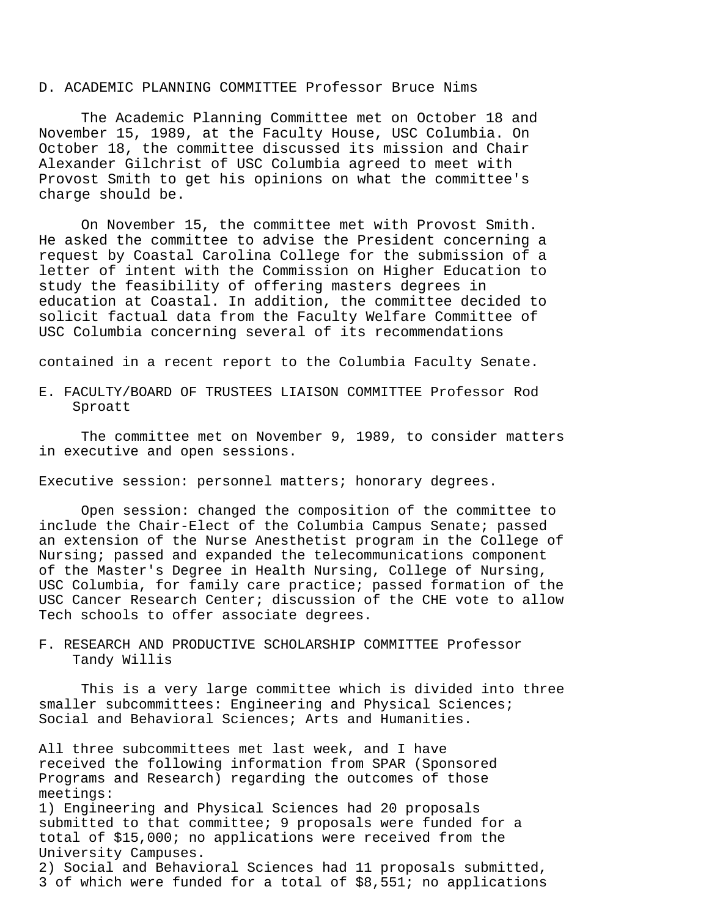## D. ACADEMIC PLANNING COMMITTEE Professor Bruce Nims

The Academic Planning Committee met on October 18 and November 15, 1989, at the Faculty House, USC Columbia. On October 18, the committee discussed its mission and Chair Alexander Gilchrist of USC Columbia agreed to meet with Provost Smith to get his opinions on what the committee's charge should be.

On November 15, the committee met with Provost Smith. He asked the committee to advise the President concerning a request by Coastal Carolina College for the submission of a letter of intent with the Commission on Higher Education to study the feasibility of offering masters degrees in education at Coastal. In addition, the committee decided to solicit factual data from the Faculty Welfare Committee of USC Columbia concerning several of its recommendations

contained in a recent report to the Columbia Faculty Senate.

E. FACULTY/BOARD OF TRUSTEES LIAISON COMMITTEE Professor Rod Sproatt

The committee met on November 9, 1989, to consider matters in executive and open sessions.

Executive session: personnel matters; honorary degrees.

Open session: changed the composition of the committee to include the Chair-Elect of the Columbia Campus Senate; passed an extension of the Nurse Anesthetist program in the College of Nursing; passed and expanded the telecommunications component of the Master's Degree in Health Nursing, College of Nursing, USC Columbia, for family care practice; passed formation of the USC Cancer Research Center; discussion of the CHE vote to allow Tech schools to offer associate degrees.

F. RESEARCH AND PRODUCTIVE SCHOLARSHIP COMMITTEE Professor Tandy Willis

This is a very large committee which is divided into three smaller subcommittees: Engineering and Physical Sciences; Social and Behavioral Sciences; Arts and Humanities.

All three subcommittees met last week, and I have received the following information from SPAR (Sponsored Programs and Research) regarding the outcomes of those meetings: 1) Engineering and Physical Sciences had 20 proposals submitted to that committee; 9 proposals were funded for a total of \$15,000; no applications were received from the University Campuses. 2) Social and Behavioral Sciences had 11 proposals submitted, 3 of which were funded for a total of \$8,551; no applications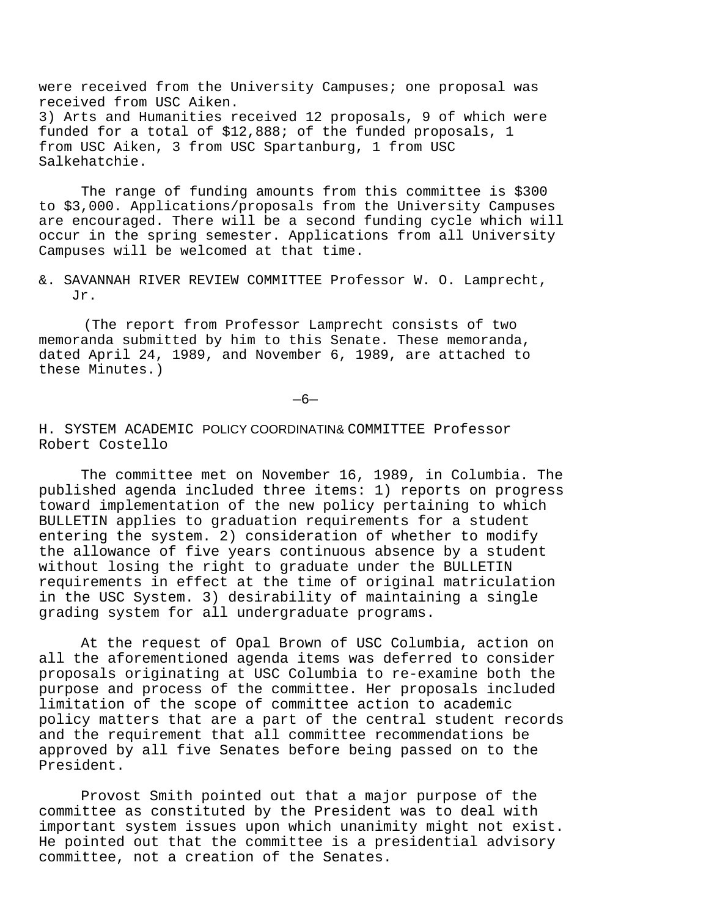were received from the University Campuses; one proposal was received from USC Aiken. 3) Arts and Humanities received 12 proposals, 9 of which were funded for a total of \$12,888; of the funded proposals, 1 from USC Aiken, 3 from USC Spartanburg, 1 from USC Salkehatchie.

The range of funding amounts from this committee is \$300 to \$3,000. Applications/proposals from the University Campuses are encouraged. There will be a second funding cycle which will occur in the spring semester. Applications from all University Campuses will be welcomed at that time.

&. SAVANNAH RIVER REVIEW COMMITTEE Professor W. O. Lamprecht, Jr.

(The report from Professor Lamprecht consists of two memoranda submitted by him to this Senate. These memoranda, dated April 24, 1989, and November 6, 1989, are attached to these Minutes.)

—6—

## H. SYSTEM ACADEMIC POLICY COORDINATIN& COMMITTEE Professor Robert Costello

The committee met on November 16, 1989, in Columbia. The published agenda included three items: 1) reports on progress toward implementation of the new policy pertaining to which BULLETIN applies to graduation requirements for a student entering the system. 2) consideration of whether to modify the allowance of five years continuous absence by a student without losing the right to graduate under the BULLETIN requirements in effect at the time of original matriculation in the USC System. 3) desirability of maintaining a single grading system for all undergraduate programs.

At the request of Opal Brown of USC Columbia, action on all the aforementioned agenda items was deferred to consider proposals originating at USC Columbia to re-examine both the purpose and process of the committee. Her proposals included limitation of the scope of committee action to academic policy matters that are a part of the central student records and the requirement that all committee recommendations be approved by all five Senates before being passed on to the President.

Provost Smith pointed out that a major purpose of the committee as constituted by the President was to deal with important system issues upon which unanimity might not exist. He pointed out that the committee is a presidential advisory committee, not a creation of the Senates.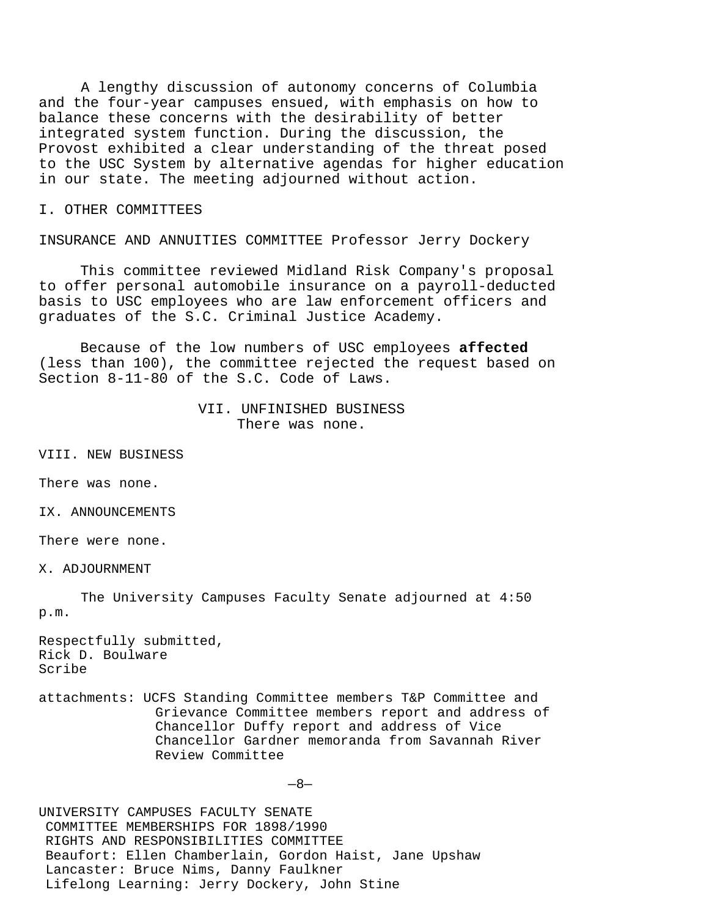A lengthy discussion of autonomy concerns of Columbia and the four-year campuses ensued, with emphasis on how to balance these concerns with the desirability of better integrated system function. During the discussion, the Provost exhibited a clear understanding of the threat posed to the USC System by alternative agendas for higher education in our state. The meeting adjourned without action.

I. OTHER COMMITTEES

INSURANCE AND ANNUITIES COMMITTEE Professor Jerry Dockery

This committee reviewed Midland Risk Company's proposal to offer personal automobile insurance on a payroll-deducted basis to USC employees who are law enforcement officers and graduates of the S.C. Criminal Justice Academy.

Because of the low numbers of USC employees **affected**  (less than 100), the committee rejected the request based on Section 8-11-80 of the S.C. Code of Laws.

## VII. UNFINISHED BUSINESS There was none.

VIII. NEW BUSINESS

There was none.

IX. ANNOUNCEMENTS

There were none.

X. ADJOURNMENT

The University Campuses Faculty Senate adjourned at 4:50 p.m.

Respectfully submitted, Rick D. Boulware Scribe

attachments: UCFS Standing Committee members T&P Committee and Grievance Committee members report and address of Chancellor Duffy report and address of Vice Chancellor Gardner memoranda from Savannah River Review Committee

—8—

UNIVERSITY CAMPUSES FACULTY SENATE COMMITTEE MEMBERSHIPS FOR 1898/1990 RIGHTS AND RESPONSIBILITIES COMMITTEE Beaufort: Ellen Chamberlain, Gordon Haist, Jane Upshaw Lancaster: Bruce Nims, Danny Faulkner Lifelong Learning: Jerry Dockery, John Stine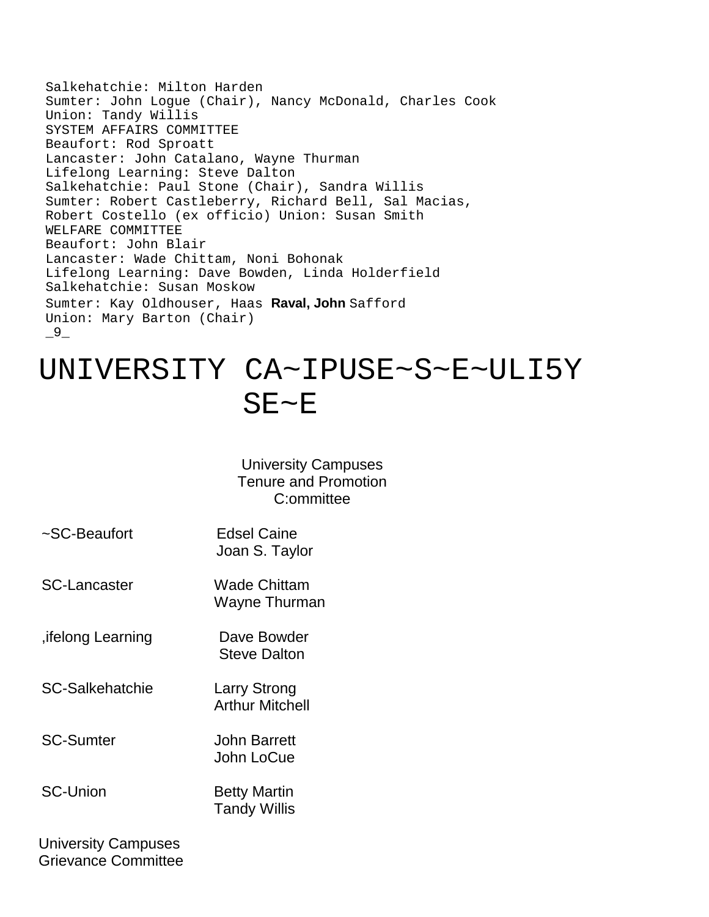Salkehatchie: Milton Harden Sumter: John Logue (Chair), Nancy McDonald, Charles Cook Union: Tandy Willis SYSTEM AFFAIRS COMMITTEE Beaufort: Rod Sproatt Lancaster: John Catalano, Wayne Thurman Lifelong Learning: Steve Dalton Salkehatchie: Paul Stone (Chair), Sandra Willis Sumter: Robert Castleberry, Richard Bell, Sal Macias, Robert Costello (ex officio) Union: Susan Smith WELFARE COMMITTEE Beaufort: John Blair Lancaster: Wade Chittam, Noni Bohonak Lifelong Learning: Dave Bowden, Linda Holderfield Salkehatchie: Susan Moskow Sumter: Kay Oldhouser, Haas **Raval, John** Safford Union: Mary Barton (Chair)  $-9-$ 

# UNIVERSITY CA~IPUSE~S~E~ULI5Y SE~E

# University Campuses Tenure and Promotion C:ommittee

| ~SC-Beaufort        | <b>Edsel Caine</b><br>Joan S. Taylor       |
|---------------------|--------------------------------------------|
| <b>SC-Lancaster</b> | Wade Chittam<br>Wayne Thurman              |
| , ifelong Learning  | Dave Bowder<br><b>Steve Dalton</b>         |
| SC-Salkehatchie     | Larry Strong<br><b>Arthur Mitchell</b>     |
| <b>SC-Sumter</b>    | John Barrett<br>John LoCue                 |
| <b>SC-Union</b>     | <b>Betty Martin</b><br><b>Tandy Willis</b> |
|                     |                                            |

University Campuses Grievance Committee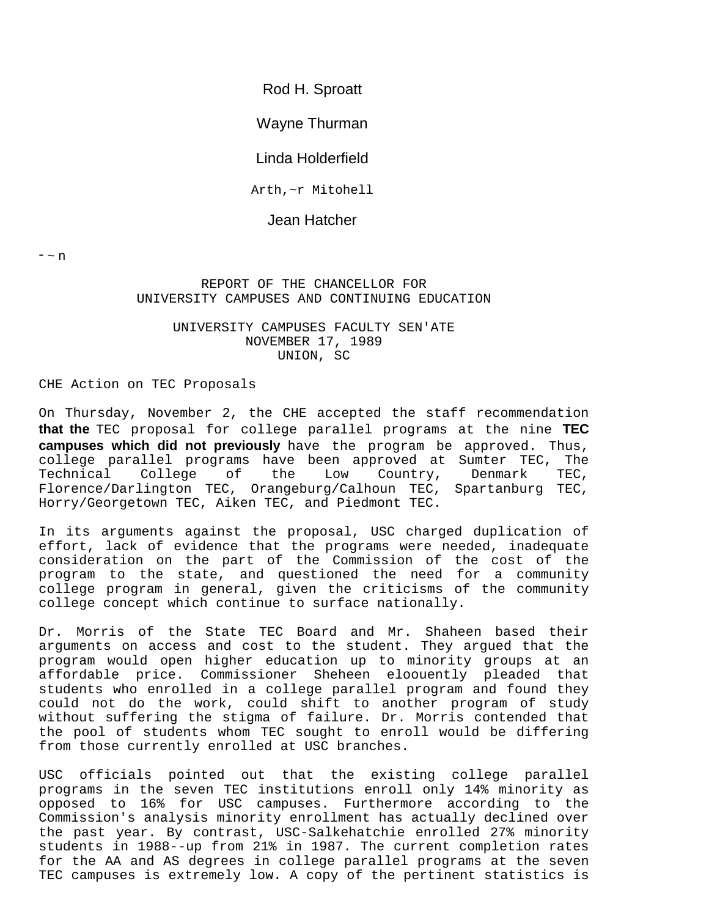Rod H. Sproatt

Wayne Thurman

Linda Holderfield

Arth,~r Mitohell

Jean Hatcher

 $n$ 

## REPORT OF THE CHANCELLOR FOR UNIVERSITY CAMPUSES AND CONTINUING EDUCATION

# UNIVERSITY CAMPUSES FACULTY SEN'ATE NOVEMBER 17, 1989 UNION, SC

## CHE Action on TEC Proposals

On Thursday, November 2, the CHE accepted the staff recommendation **that the** TEC proposal for college parallel programs at the nine **TEC campuses which did not previously** have the program be approved. Thus, college parallel programs have been approved at Sumter TEC, The<br>Technical College of the Low Country, Denmark TEC, Low Country, Florence/Darlington TEC, Orangeburg/Calhoun TEC, Spartanburg TEC, Horry/Georgetown TEC, Aiken TEC, and Piedmont TEC.

In its arguments against the proposal, USC charged duplication of effort, lack of evidence that the programs were needed, inadequate consideration on the part of the Commission of the cost of the program to the state, and questioned the need for a community college program in general, given the criticisms of the community college concept which continue to surface nationally.

Dr. Morris of the State TEC Board and Mr. Shaheen based their arguments on access and cost to the student. They argued that the program would open higher education up to minority groups at an affordable price. Commissioner Sheheen eloouently pleaded that students who enrolled in a college parallel program and found they could not do the work, could shift to another program of study without suffering the stigma of failure. Dr. Morris contended that the pool of students whom TEC sought to enroll would be differing from those currently enrolled at USC branches.

USC officials pointed out that the existing college parallel programs in the seven TEC institutions enroll only 14% minority as opposed to 16% for USC campuses. Furthermore according to the Commission's analysis minority enrollment has actually declined over the past year. By contrast, USC-Salkehatchie enrolled 27% minority students in 1988--up from 21% in 1987. The current completion rates for the AA and AS degrees in college parallel programs at the seven TEC campuses is extremely low. A copy of the pertinent statistics is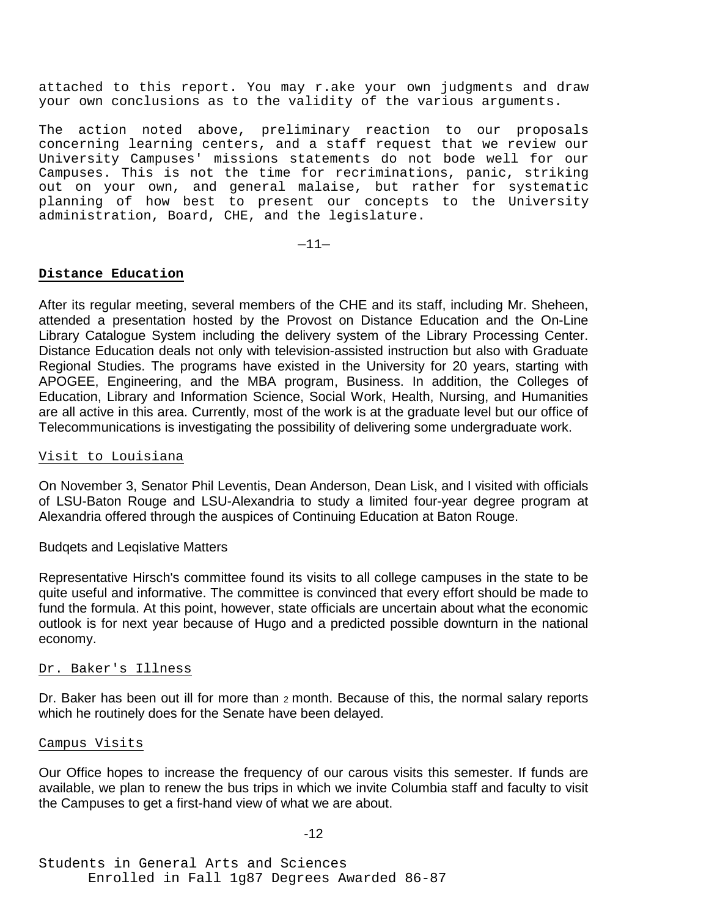attached to this report. You may r.ake your own judgments and draw your own conclusions as to the validity of the various arguments.

The action noted above, preliminary reaction to our proposals concerning learning centers, and a staff request that we review our University Campuses' missions statements do not bode well for our Campuses. This is not the time for recriminations, panic, striking out on your own, and general malaise, but rather for systematic planning of how best to present our concepts to the University administration, Board, CHE, and the legislature.

 $-11-$ 

## **Distance Education**

After its regular meeting, several members of the CHE and its staff, including Mr. Sheheen, attended a presentation hosted by the Provost on Distance Education and the On-Line Library Catalogue System including the delivery system of the Library Processing Center. Distance Education deals not only with television-assisted instruction but also with Graduate Regional Studies. The programs have existed in the University for 20 years, starting with APOGEE, Engineering, and the MBA program, Business. In addition, the Colleges of Education, Library and Information Science, Social Work, Health, Nursing, and Humanities are all active in this area. Currently, most of the work is at the graduate level but our office of Telecommunications is investigating the possibility of delivering some undergraduate work.

# Visit to Louisiana

On November 3, Senator Phil Leventis, Dean Anderson, Dean Lisk, and I visited with officials of LSU-Baton Rouge and LSU-Alexandria to study a limited four-year degree program at Alexandria offered through the auspices of Continuing Education at Baton Rouge.

## Budqets and Leqislative Matters

Representative Hirsch's committee found its visits to all college campuses in the state to be quite useful and informative. The committee is convinced that every effort should be made to fund the formula. At this point, however, state officials are uncertain about what the economic outlook is for next year because of Hugo and a predicted possible downturn in the national economy.

## Dr. Baker's Illness

Dr. Baker has been out ill for more than 2 month. Because of this, the normal salary reports which he routinely does for the Senate have been delayed.

#### Campus Visits

Our Office hopes to increase the frequency of our carous visits this semester. If funds are available, we plan to renew the bus trips in which we invite Columbia staff and faculty to visit the Campuses to get a first-hand view of what we are about.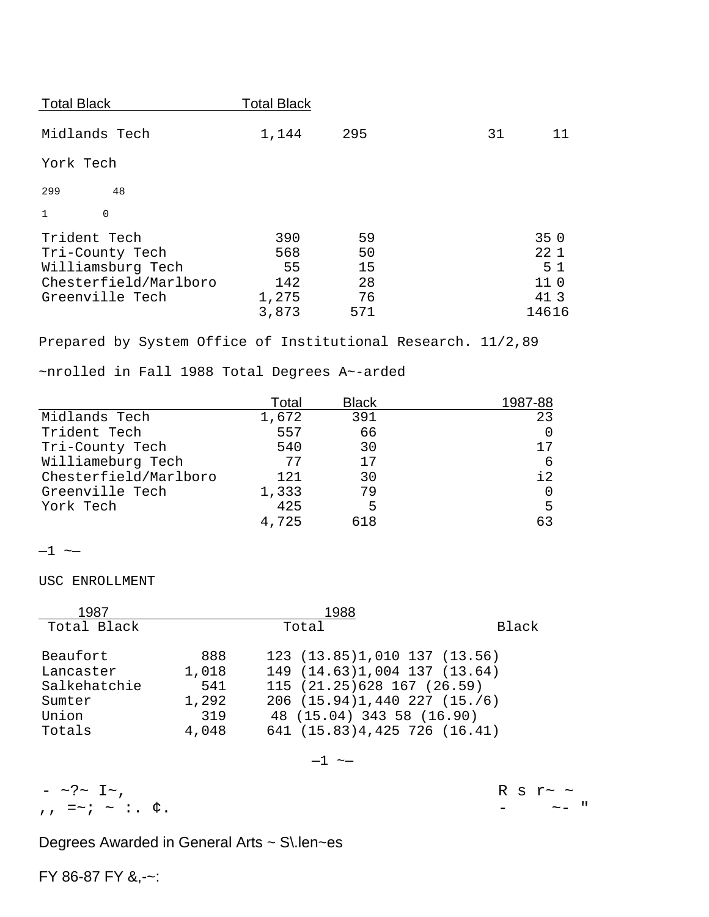| <b>Total Black</b> |     |    |                 |
|--------------------|-----|----|-----------------|
| 1,144              | 295 | 31 | 11              |
|                    |     |    |                 |
|                    |     |    |                 |
|                    |     |    |                 |
| 390                | 59  |    | 350             |
| 568                | 50  |    | 22 1            |
| 55                 | 15  |    | 5 <sub>1</sub>  |
| 142                | 28  |    | 11 <sub>0</sub> |
| 1,275              | 76  |    | 41 3            |
| 3,873              | 571 |    | 14616           |
|                    |     |    |                 |

Prepared by System Office of Institutional Research. 11/2,89

~nrolled in Fall 1988 Total Degrees A~-arded

|                       | Total | <b>Black</b> | 1987-88       |
|-----------------------|-------|--------------|---------------|
| Midlands Tech         | 1,672 | 391          | 23            |
| Trident Tech          | 557   | 66           | 0             |
| Tri-County Tech       | 540   | 30           | 17            |
| Williameburg Tech     | 77    | 17           | 6             |
| Chesterfield/Marlboro | 121   | 30           | $\frac{1}{2}$ |
| Greenville Tech       | 1,333 | 79           | 0             |
| York Tech             | 425   | 5            | 5             |
|                       | 4.725 | 618          | 63            |

 $-1$   $\sim$ 

# USC ENROLLMENT

| 1987         |       |                                      |       |
|--------------|-------|--------------------------------------|-------|
| Total Black  | Total |                                      | Black |
| Beaufort     | 888   | 123 (13.85)1,010 137 (13.56)         |       |
| Lancaster    | 1,018 | 149 (14.63)1,004 137 (13.64)         |       |
| Salkehatchie | 541   | 115 (21.25) 628 167 (26.59)          |       |
| Sumter       | 1,292 | $206$ $(15.94)1,440$ $227$ $(15./6)$ |       |
| Union        | 319   | 48 (15.04) 343 58 (16.90)            |       |
| Totals       | 4,048 | 641 (15.83)4,425 726 (16.41)         |       |

 $-1$   $\sim\hspace{-2pt}-$ 

 $R = 5 \times 1$ , R s  $R = 1$ , R s  $R = 1$ , R s  $R = 1$ , R s  $R = 1$ , R s  $R = 1$ , R s  $R = 1$ , R s  $R = 1$ , R s  $R = 1$ , R s  $R = 1$ , R s  $R = 1$ , R s  $R = 1$ , R s  $R = 1$ , R s  $R = 1$ , R s  $R = 1$ , R s  $R = 1$ , R s  $R = 1$ , R s  $R = 1$ , R s  $, \quad \Rightarrow ; \quad \sim : \quad \phi$ .

Degrees Awarded in General Arts ~ S\.len~es

FY 86-87 FY &,-~: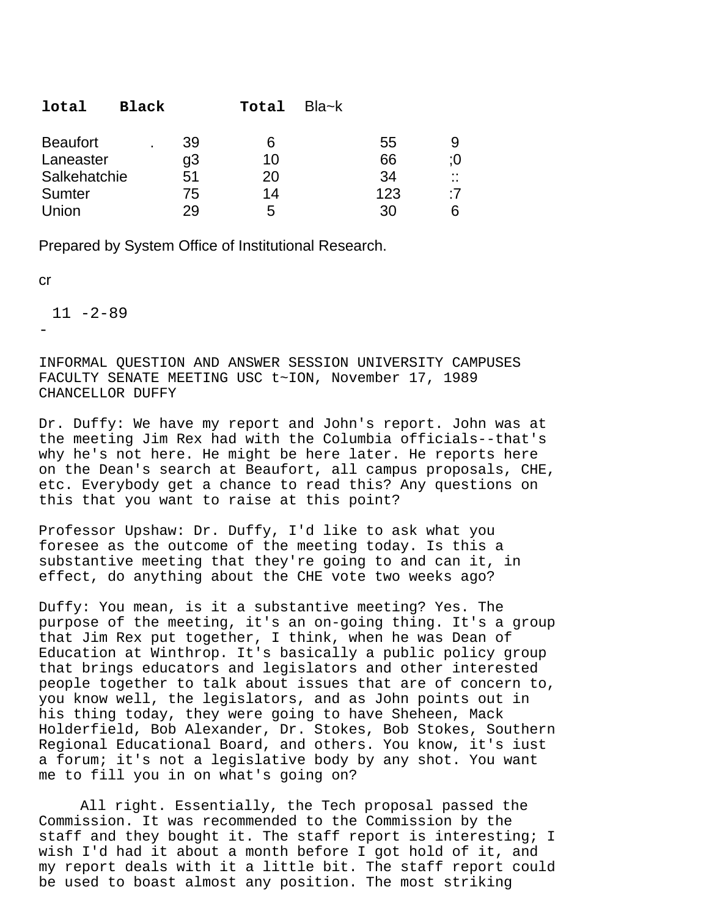| 39<br><b>Beaufort</b><br>6 | 55<br>9                              |
|----------------------------|--------------------------------------|
| g3<br>Laneaster<br>10      | 66<br>:0                             |
| Salkehatchie<br>51<br>20   | 34<br>$\sim$<br>$\ddot{\phantom{0}}$ |
| 14<br>Sumter<br>75         | 123<br>:7                            |
| Union<br>29<br>5           | 30<br>6                              |

Prepared by System Office of Institutional Research.

cr

 $11 - 2 - 89$ -

INFORMAL QUESTION AND ANSWER SESSION UNIVERSITY CAMPUSES FACULTY SENATE MEETING USC t~ION, November 17, 1989 CHANCELLOR DUFFY

Dr. Duffy: We have my report and John's report. John was at the meeting Jim Rex had with the Columbia officials--that's why he's not here. He might be here later. He reports here on the Dean's search at Beaufort, all campus proposals, CHE, etc. Everybody get a chance to read this? Any questions on this that you want to raise at this point?

Professor Upshaw: Dr. Duffy, I'd like to ask what you foresee as the outcome of the meeting today. Is this a substantive meeting that they're going to and can it, in effect, do anything about the CHE vote two weeks ago?

Duffy: You mean, is it a substantive meeting? Yes. The purpose of the meeting, it's an on-going thing. It's a group that Jim Rex put together, I think, when he was Dean of Education at Winthrop. It's basically a public policy group that brings educators and legislators and other interested people together to talk about issues that are of concern to, you know well, the legislators, and as John points out in his thing today, they were going to have Sheheen, Mack Holderfield, Bob Alexander, Dr. Stokes, Bob Stokes, Southern Regional Educational Board, and others. You know, it's iust a forum; it's not a legislative body by any shot. You want me to fill you in on what's going on?

All right. Essentially, the Tech proposal passed the Commission. It was recommended to the Commission by the staff and they bought it. The staff report is interesting; I wish I'd had it about a month before I got hold of it, and my report deals with it a little bit. The staff report could be used to boast almost any position. The most striking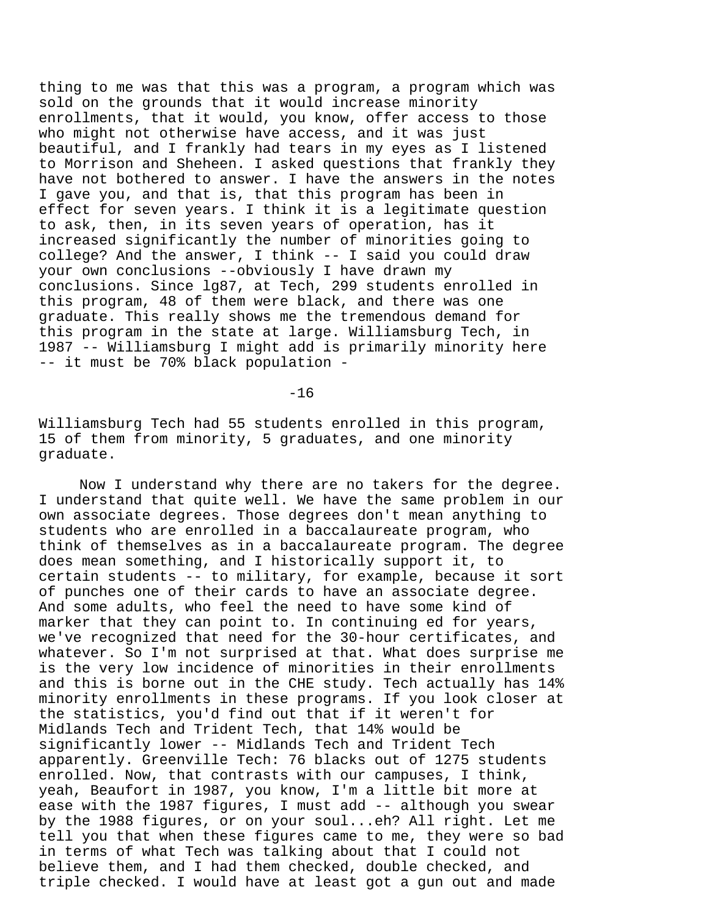thing to me was that this was a program, a program which was sold on the grounds that it would increase minority enrollments, that it would, you know, offer access to those who might not otherwise have access, and it was just beautiful, and I frankly had tears in my eyes as I listened to Morrison and Sheheen. I asked questions that frankly they have not bothered to answer. I have the answers in the notes I gave you, and that is, that this program has been in effect for seven years. I think it is a legitimate question to ask, then, in its seven years of operation, has it increased significantly the number of minorities going to college? And the answer, I think -- I said you could draw your own conclusions --obviously I have drawn my conclusions. Since lg87, at Tech, 299 students enrolled in this program, 48 of them were black, and there was one graduate. This really shows me the tremendous demand for this program in the state at large. Williamsburg Tech, in 1987 -- Williamsburg I might add is primarily minority here -- it must be 70% black population -

-16

Williamsburg Tech had 55 students enrolled in this program, 15 of them from minority, 5 graduates, and one minority graduate.

Now I understand why there are no takers for the degree. I understand that quite well. We have the same problem in our own associate degrees. Those degrees don't mean anything to students who are enrolled in a baccalaureate program, who think of themselves as in a baccalaureate program. The degree does mean something, and I historically support it, to certain students -- to military, for example, because it sort of punches one of their cards to have an associate degree. And some adults, who feel the need to have some kind of marker that they can point to. In continuing ed for years, we've recognized that need for the 30-hour certificates, and whatever. So I'm not surprised at that. What does surprise me is the very low incidence of minorities in their enrollments and this is borne out in the CHE study. Tech actually has 14% minority enrollments in these programs. If you look closer at the statistics, you'd find out that if it weren't for Midlands Tech and Trident Tech, that 14% would be significantly lower -- Midlands Tech and Trident Tech apparently. Greenville Tech: 76 blacks out of 1275 students enrolled. Now, that contrasts with our campuses, I think, yeah, Beaufort in 1987, you know, I'm a little bit more at ease with the 1987 figures, I must add -- although you swear by the 1988 figures, or on your soul...eh? All right. Let me tell you that when these figures came to me, they were so bad in terms of what Tech was talking about that I could not believe them, and I had them checked, double checked, and triple checked. I would have at least got a gun out and made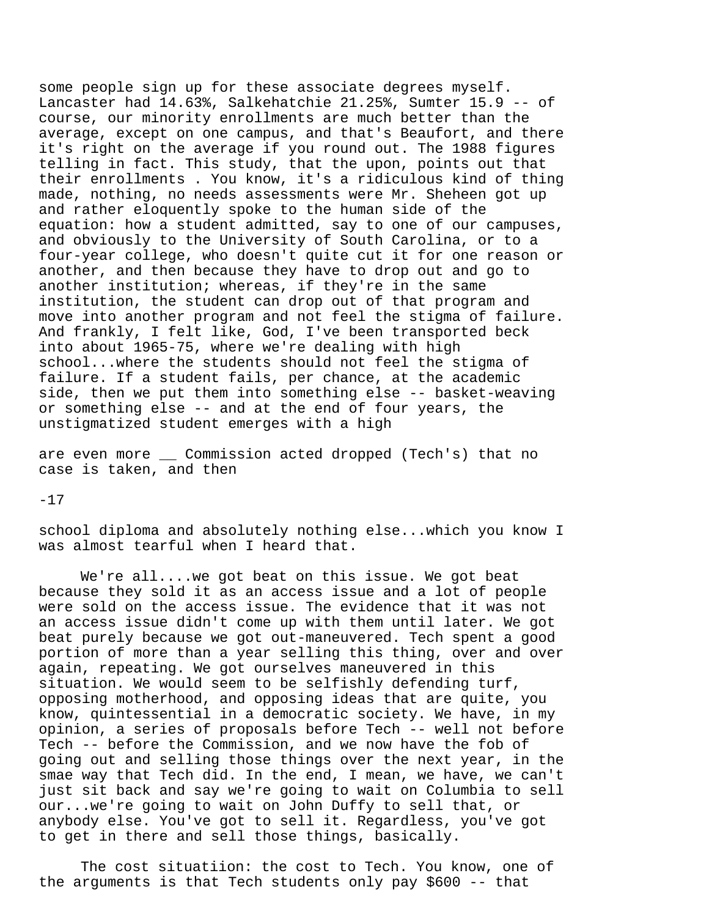some people sign up for these associate degrees myself. Lancaster had 14.63%, Salkehatchie 21.25%, Sumter 15.9 -- of course, our minority enrollments are much better than the average, except on one campus, and that's Beaufort, and there it's right on the average if you round out. The 1988 figures telling in fact. This study, that the upon, points out that their enrollments . You know, it's a ridiculous kind of thing made, nothing, no needs assessments were Mr. Sheheen got up and rather eloquently spoke to the human side of the equation: how a student admitted, say to one of our campuses, and obviously to the University of South Carolina, or to a four-year college, who doesn't quite cut it for one reason or another, and then because they have to drop out and go to another institution; whereas, if they're in the same institution, the student can drop out of that program and move into another program and not feel the stigma of failure. And frankly, I felt like, God, I've been transported beck into about 1965-75, where we're dealing with high school...where the students should not feel the stigma of failure. If a student fails, per chance, at the academic side, then we put them into something else -- basket-weaving or something else -- and at the end of four years, the unstigmatized student emerges with a high

are even more \_\_ Commission acted dropped (Tech's) that no case is taken, and then

-17

school diploma and absolutely nothing else...which you know I was almost tearful when I heard that.

We're all....we got beat on this issue. We got beat because they sold it as an access issue and a lot of people were sold on the access issue. The evidence that it was not an access issue didn't come up with them until later. We got beat purely because we got out-maneuvered. Tech spent a good portion of more than a year selling this thing, over and over again, repeating. We got ourselves maneuvered in this situation. We would seem to be selfishly defending turf, opposing motherhood, and opposing ideas that are quite, you know, quintessential in a democratic society. We have, in my opinion, a series of proposals before Tech -- well not before Tech -- before the Commission, and we now have the fob of going out and selling those things over the next year, in the smae way that Tech did. In the end, I mean, we have, we can't just sit back and say we're going to wait on Columbia to sell our...we're going to wait on John Duffy to sell that, or anybody else. You've got to sell it. Regardless, you've got to get in there and sell those things, basically.

The cost situatiion: the cost to Tech. You know, one of the arguments is that Tech students only pay \$600 -- that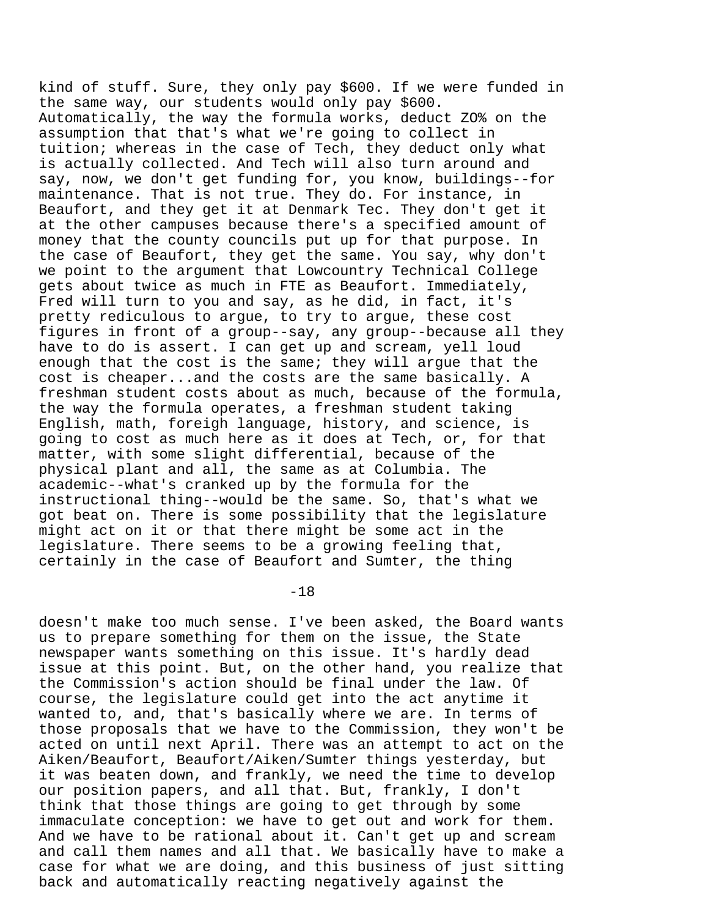kind of stuff. Sure, they only pay \$600. If we were funded in the same way, our students would only pay \$600. Automatically, the way the formula works, deduct ZO% on the assumption that that's what we're going to collect in tuition; whereas in the case of Tech, they deduct only what is actually collected. And Tech will also turn around and say, now, we don't get funding for, you know, buildings--for maintenance. That is not true. They do. For instance, in Beaufort, and they get it at Denmark Tec. They don't get it at the other campuses because there's a specified amount of money that the county councils put up for that purpose. In the case of Beaufort, they get the same. You say, why don't we point to the argument that Lowcountry Technical College gets about twice as much in FTE as Beaufort. Immediately, Fred will turn to you and say, as he did, in fact, it's pretty rediculous to argue, to try to argue, these cost figures in front of a group--say, any group--because all they have to do is assert. I can get up and scream, yell loud enough that the cost is the same; they will argue that the cost is cheaper...and the costs are the same basically. A freshman student costs about as much, because of the formula, the way the formula operates, a freshman student taking English, math, foreigh language, history, and science, is going to cost as much here as it does at Tech, or, for that matter, with some slight differential, because of the physical plant and all, the same as at Columbia. The academic--what's cranked up by the formula for the instructional thing--would be the same. So, that's what we got beat on. There is some possibility that the legislature might act on it or that there might be some act in the legislature. There seems to be a growing feeling that, certainly in the case of Beaufort and Sumter, the thing

-18

doesn't make too much sense. I've been asked, the Board wants us to prepare something for them on the issue, the State newspaper wants something on this issue. It's hardly dead issue at this point. But, on the other hand, you realize that the Commission's action should be final under the law. Of course, the legislature could get into the act anytime it wanted to, and, that's basically where we are. In terms of those proposals that we have to the Commission, they won't be acted on until next April. There was an attempt to act on the Aiken/Beaufort, Beaufort/Aiken/Sumter things yesterday, but it was beaten down, and frankly, we need the time to develop our position papers, and all that. But, frankly, I don't think that those things are going to get through by some immaculate conception: we have to get out and work for them. And we have to be rational about it. Can't get up and scream and call them names and all that. We basically have to make a case for what we are doing, and this business of just sitting back and automatically reacting negatively against the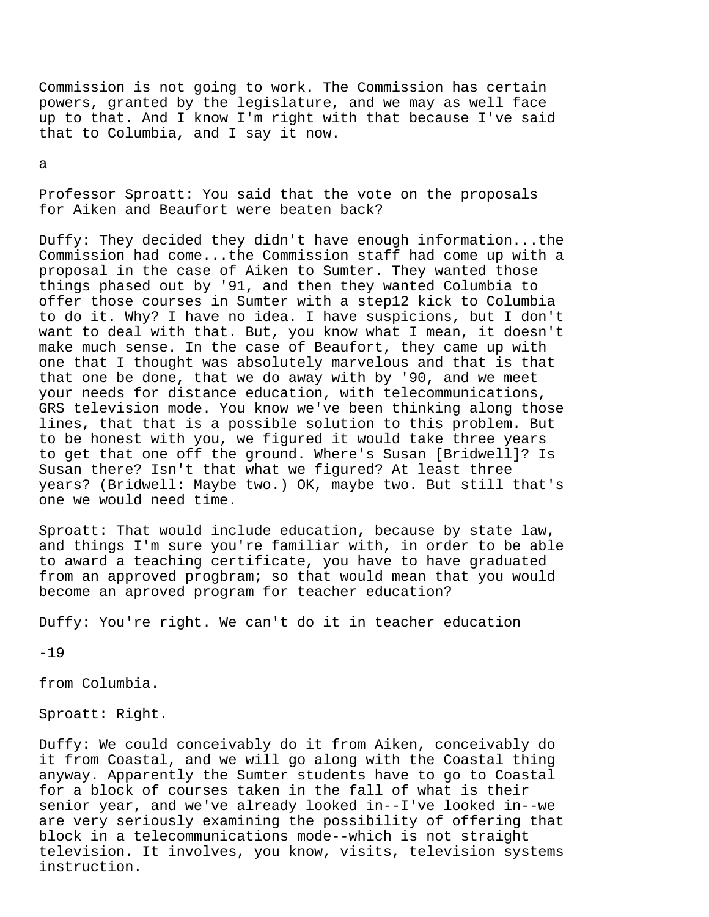Commission is not going to work. The Commission has certain powers, granted by the legislature, and we may as well face up to that. And I know I'm right with that because I've said that to Columbia, and I say it now.

a

Professor Sproatt: You said that the vote on the proposals for Aiken and Beaufort were beaten back?

Duffy: They decided they didn't have enough information...the Commission had come...the Commission staff had come up with a proposal in the case of Aiken to Sumter. They wanted those things phased out by '91, and then they wanted Columbia to offer those courses in Sumter with a step12 kick to Columbia to do it. Why? I have no idea. I have suspicions, but I don't want to deal with that. But, you know what I mean, it doesn't make much sense. In the case of Beaufort, they came up with one that I thought was absolutely marvelous and that is that that one be done, that we do away with by '90, and we meet your needs for distance education, with telecommunications, GRS television mode. You know we've been thinking along those lines, that that is a possible solution to this problem. But to be honest with you, we figured it would take three years to get that one off the ground. Where's Susan [Bridwell]? Is Susan there? Isn't that what we figured? At least three years? (Bridwell: Maybe two.) OK, maybe two. But still that's one we would need time.

Sproatt: That would include education, because by state law, and things I'm sure you're familiar with, in order to be able to award a teaching certificate, you have to have graduated from an approved progbram; so that would mean that you would become an aproved program for teacher education?

Duffy: You're right. We can't do it in teacher education

 $-19$ 

from Columbia.

Sproatt: Right.

Duffy: We could conceivably do it from Aiken, conceivably do it from Coastal, and we will go along with the Coastal thing anyway. Apparently the Sumter students have to go to Coastal for a block of courses taken in the fall of what is their senior year, and we've already looked in--I've looked in--we are very seriously examining the possibility of offering that block in a telecommunications mode--which is not straight television. It involves, you know, visits, television systems instruction.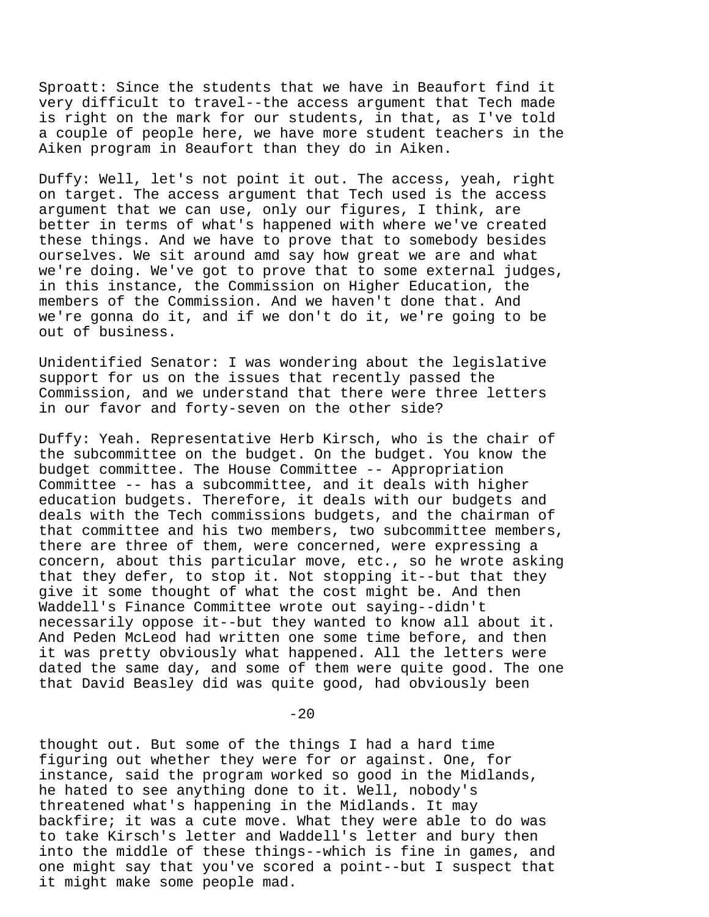Sproatt: Since the students that we have in Beaufort find it very difficult to travel--the access argument that Tech made is right on the mark for our students, in that, as I've told a couple of people here, we have more student teachers in the Aiken program in 8eaufort than they do in Aiken.

Duffy: Well, let's not point it out. The access, yeah, right on target. The access argument that Tech used is the access argument that we can use, only our figures, I think, are better in terms of what's happened with where we've created these things. And we have to prove that to somebody besides ourselves. We sit around amd say how great we are and what we're doing. We've got to prove that to some external judges, in this instance, the Commission on Higher Education, the members of the Commission. And we haven't done that. And we're gonna do it, and if we don't do it, we're going to be out of business.

Unidentified Senator: I was wondering about the legislative support for us on the issues that recently passed the Commission, and we understand that there were three letters in our favor and forty-seven on the other side?

Duffy: Yeah. Representative Herb Kirsch, who is the chair of the subcommittee on the budget. On the budget. You know the budget committee. The House Committee -- Appropriation Committee -- has a subcommittee, and it deals with higher education budgets. Therefore, it deals with our budgets and deals with the Tech commissions budgets, and the chairman of that committee and his two members, two subcommittee members, there are three of them, were concerned, were expressing a concern, about this particular move, etc., so he wrote asking that they defer, to stop it. Not stopping it--but that they give it some thought of what the cost might be. And then Waddell's Finance Committee wrote out saying--didn't necessarily oppose it--but they wanted to know all about it. And Peden McLeod had written one some time before, and then it was pretty obviously what happened. All the letters were dated the same day, and some of them were quite good. The one that David Beasley did was quite good, had obviously been

 $-20$ 

thought out. But some of the things I had a hard time figuring out whether they were for or against. One, for instance, said the program worked so good in the Midlands, he hated to see anything done to it. Well, nobody's threatened what's happening in the Midlands. It may backfire; it was a cute move. What they were able to do was to take Kirsch's letter and Waddell's letter and bury then into the middle of these things--which is fine in games, and one might say that you've scored a point--but I suspect that it might make some people mad.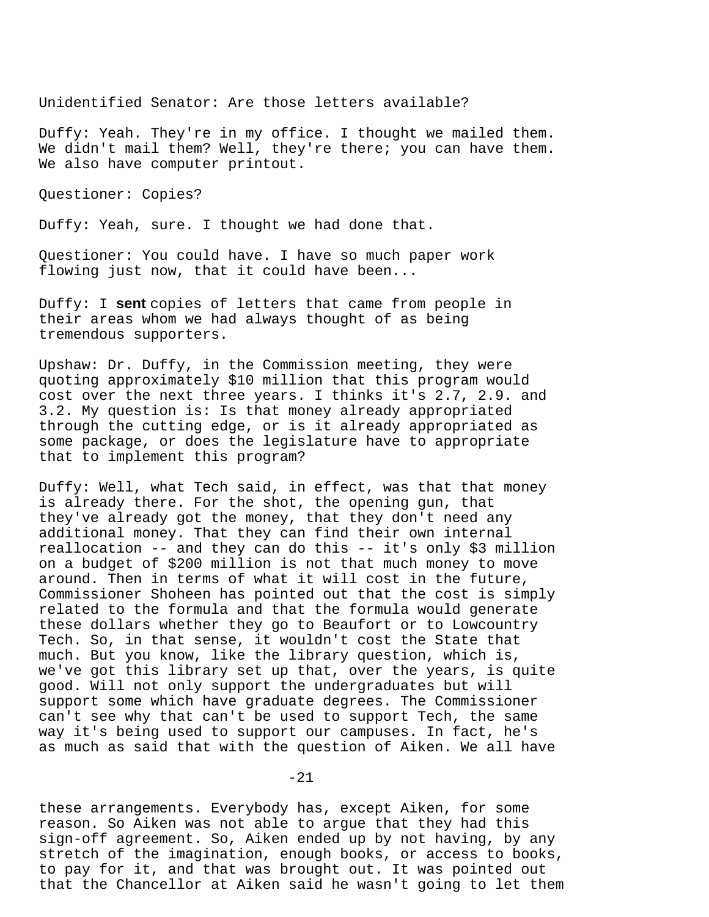Unidentified Senator: Are those letters available?

Duffy: Yeah. They're in my office. I thought we mailed them. We didn't mail them? Well, they're there; you can have them. We also have computer printout.

Questioner: Copies?

Duffy: Yeah, sure. I thought we had done that.

Questioner: You could have. I have so much paper work flowing just now, that it could have been...

Duffy: I **sent** copies of letters that came from people in their areas whom we had always thought of as being tremendous supporters.

Upshaw: Dr. Duffy, in the Commission meeting, they were quoting approximately \$10 million that this program would cost over the next three years. I thinks it's 2.7, 2.9. and 3.2. My question is: Is that money already appropriated through the cutting edge, or is it already appropriated as some package, or does the legislature have to appropriate that to implement this program?

Duffy: Well, what Tech said, in effect, was that that money is already there. For the shot, the opening gun, that they've already got the money, that they don't need any additional money. That they can find their own internal reallocation -- and they can do this -- it's only \$3 million on a budget of \$200 million is not that much money to move around. Then in terms of what it will cost in the future, Commissioner Shoheen has pointed out that the cost is simply related to the formula and that the formula would generate these dollars whether they go to Beaufort or to Lowcountry Tech. So, in that sense, it wouldn't cost the State that much. But you know, like the library question, which is, we've got this library set up that, over the years, is quite good. Will not only support the undergraduates but will support some which have graduate degrees. The Commissioner can't see why that can't be used to support Tech, the same way it's being used to support our campuses. In fact, he's as much as said that with the question of Aiken. We all have

-21

these arrangements. Everybody has, except Aiken, for some reason. So Aiken was not able to argue that they had this sign-off agreement. So, Aiken ended up by not having, by any stretch of the imagination, enough books, or access to books, to pay for it, and that was brought out. It was pointed out that the Chancellor at Aiken said he wasn't going to let them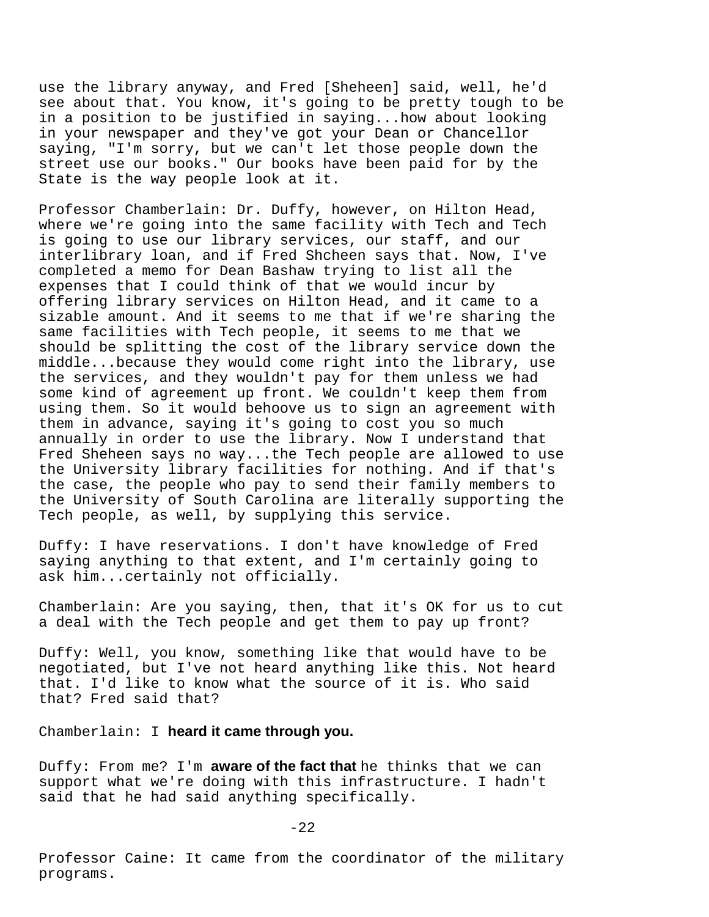use the library anyway, and Fred [Sheheen] said, well, he'd see about that. You know, it's going to be pretty tough to be in a position to be justified in saying...how about looking in your newspaper and they've got your Dean or Chancellor saying, "I'm sorry, but we can't let those people down the street use our books." Our books have been paid for by the State is the way people look at it.

Professor Chamberlain: Dr. Duffy, however, on Hilton Head, where we're going into the same facility with Tech and Tech is going to use our library services, our staff, and our interlibrary loan, and if Fred Shcheen says that. Now, I've completed a memo for Dean Bashaw trying to list all the expenses that I could think of that we would incur by offering library services on Hilton Head, and it came to a sizable amount. And it seems to me that if we're sharing the same facilities with Tech people, it seems to me that we should be splitting the cost of the library service down the middle...because they would come right into the library, use the services, and they wouldn't pay for them unless we had some kind of agreement up front. We couldn't keep them from using them. So it would behoove us to sign an agreement with them in advance, saying it's going to cost you so much annually in order to use the library. Now I understand that Fred Sheheen says no way...the Tech people are allowed to use the University library facilities for nothing. And if that's the case, the people who pay to send their family members to the University of South Carolina are literally supporting the Tech people, as well, by supplying this service.

Duffy: I have reservations. I don't have knowledge of Fred saying anything to that extent, and I'm certainly going to ask him...certainly not officially.

Chamberlain: Are you saying, then, that it's OK for us to cut a deal with the Tech people and get them to pay up front?

Duffy: Well, you know, something like that would have to be negotiated, but I've not heard anything like this. Not heard that. I'd like to know what the source of it is. Who said that? Fred said that?

Chamberlain: I **heard it came through you.**

Duffy: From me? I'm **aware of the fact that** he thinks that we can support what we're doing with this infrastructure. I hadn't said that he had said anything specifically.

 $-22$ 

Professor Caine: It came from the coordinator of the military programs.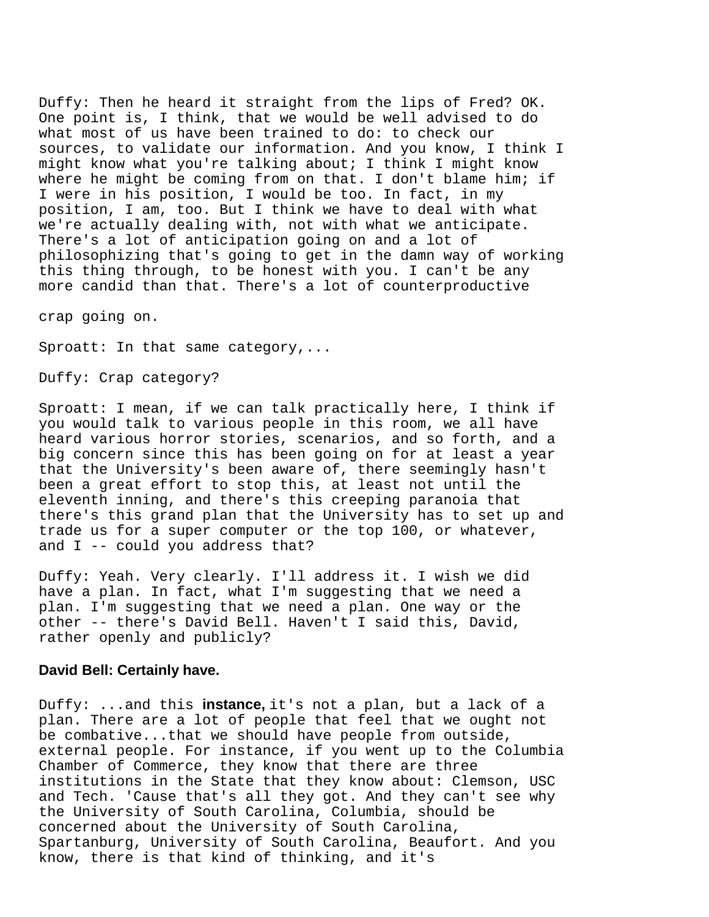Duffy: Then he heard it straight from the lips of Fred? OK. One point is, I think, that we would be well advised to do what most of us have been trained to do: to check our sources, to validate our information. And you know, I think I might know what you're talking about; I think I might know where he might be coming from on that. I don't blame him; if I were in his position, I would be too. In fact, in my position, I am, too. But I think we have to deal with what we're actually dealing with, not with what we anticipate. There's a lot of anticipation going on and a lot of philosophizing that's going to get in the damn way of working this thing through, to be honest with you. I can't be any more candid than that. There's a lot of counterproductive

crap going on.

Sproatt: In that same category,...

Duffy: Crap category?

Sproatt: I mean, if we can talk practically here, I think if you would talk to various people in this room, we all have heard various horror stories, scenarios, and so forth, and a big concern since this has been going on for at least a year that the University's been aware of, there seemingly hasn't been a great effort to stop this, at least not until the eleventh inning, and there's this creeping paranoia that there's this grand plan that the University has to set up and trade us for a super computer or the top 100, or whatever, and I -- could you address that?

Duffy: Yeah. Very clearly. I'll address it. I wish we did have a plan. In fact, what I'm suggesting that we need a plan. I'm suggesting that we need a plan. One way or the other -- there's David Bell. Haven't I said this, David, rather openly and publicly?

## **David Bell: Certainly have.**

Duffy: ...and this **instance,** it's not a plan, but a lack of a plan. There are a lot of people that feel that we ought not be combative...that we should have people from outside, external people. For instance, if you went up to the Columbia Chamber of Commerce, they know that there are three institutions in the State that they know about: Clemson, USC and Tech. 'Cause that's all they got. And they can't see why the University of South Carolina, Columbia, should be concerned about the University of South Carolina, Spartanburg, University of South Carolina, Beaufort. And you know, there is that kind of thinking, and it's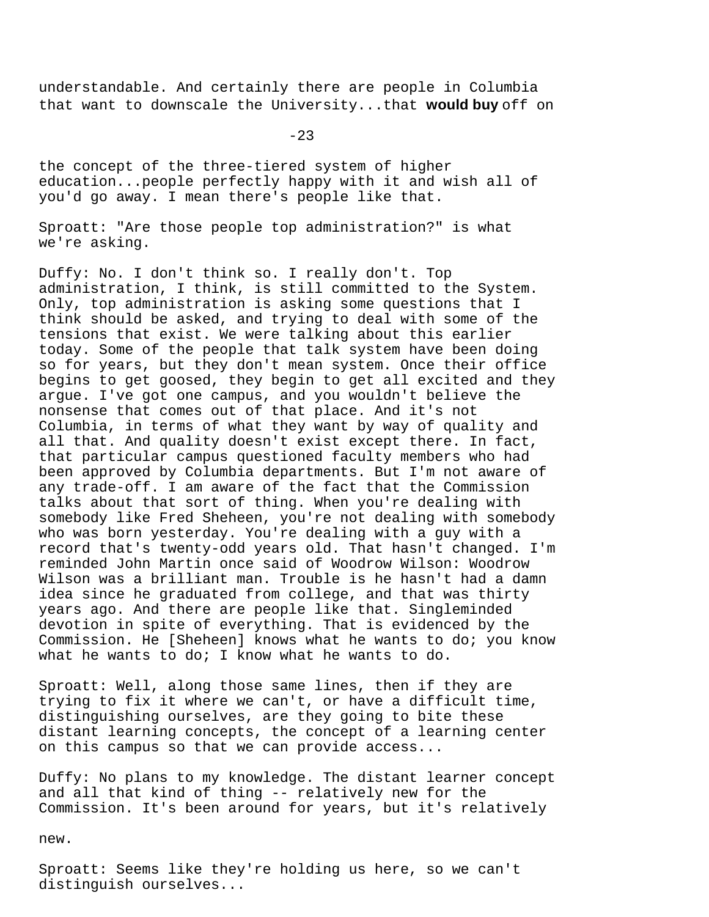understandable. And certainly there are people in Columbia that want to downscale the University...that **would buy** off on

 $-23$ 

the concept of the three-tiered system of higher education...people perfectly happy with it and wish all of you'd go away. I mean there's people like that.

Sproatt: "Are those people top administration?" is what we're asking.

Duffy: No. I don't think so. I really don't. Top administration, I think, is still committed to the System. Only, top administration is asking some questions that I think should be asked, and trying to deal with some of the tensions that exist. We were talking about this earlier today. Some of the people that talk system have been doing so for years, but they don't mean system. Once their office begins to get goosed, they begin to get all excited and they argue. I've got one campus, and you wouldn't believe the nonsense that comes out of that place. And it's not Columbia, in terms of what they want by way of quality and all that. And quality doesn't exist except there. In fact, that particular campus questioned faculty members who had been approved by Columbia departments. But I'm not aware of any trade-off. I am aware of the fact that the Commission talks about that sort of thing. When you're dealing with somebody like Fred Sheheen, you're not dealing with somebody who was born yesterday. You're dealing with a guy with a record that's twenty-odd years old. That hasn't changed. I'm reminded John Martin once said of Woodrow Wilson: Woodrow Wilson was a brilliant man. Trouble is he hasn't had a damn idea since he graduated from college, and that was thirty years ago. And there are people like that. Singleminded devotion in spite of everything. That is evidenced by the Commission. He [Sheheen] knows what he wants to do; you know what he wants to do; I know what he wants to do.

Sproatt: Well, along those same lines, then if they are trying to fix it where we can't, or have a difficult time, distinguishing ourselves, are they going to bite these distant learning concepts, the concept of a learning center on this campus so that we can provide access...

Duffy: No plans to my knowledge. The distant learner concept and all that kind of thing -- relatively new for the Commission. It's been around for years, but it's relatively

new.

Sproatt: Seems like they're holding us here, so we can't distinguish ourselves...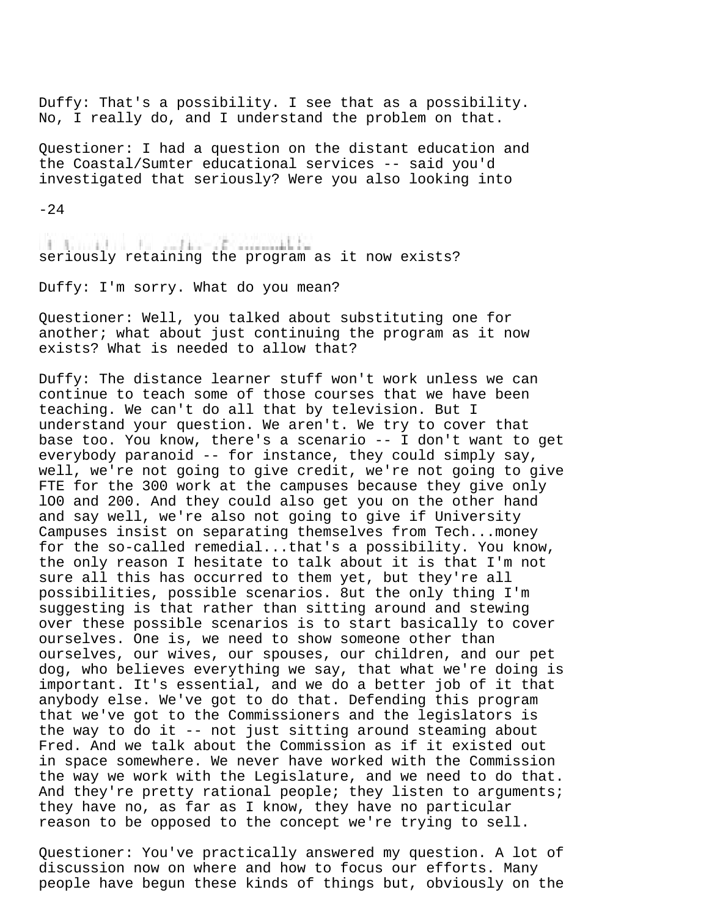Duffy: That's a possibility. I see that as a possibility. No, I really do, and I understand the problem on that.

Questioner: I had a question on the distant education and the Coastal/Sumter educational services -- said you'd investigated that seriously? Were you also looking into

 $-24$ 

The Constitution of the Constitution of the Constitution of the seriously retaining the program as it now exists?

Duffy: I'm sorry. What do you mean?

Questioner: Well, you talked about substituting one for another; what about just continuing the program as it now exists? What is needed to allow that?

Duffy: The distance learner stuff won't work unless we can continue to teach some of those courses that we have been teaching. We can't do all that by television. But I understand your question. We aren't. We try to cover that base too. You know, there's a scenario -- I don't want to get everybody paranoid -- for instance, they could simply say, well, we're not going to give credit, we're not going to give FTE for the 300 work at the campuses because they give only lO0 and 200. And they could also get you on the other hand and say well, we're also not going to give if University Campuses insist on separating themselves from Tech...money for the so-called remedial...that's a possibility. You know, the only reason I hesitate to talk about it is that I'm not sure all this has occurred to them yet, but they're all possibilities, possible scenarios. 8ut the only thing I'm suggesting is that rather than sitting around and stewing over these possible scenarios is to start basically to cover ourselves. One is, we need to show someone other than ourselves, our wives, our spouses, our children, and our pet dog, who believes everything we say, that what we're doing is important. It's essential, and we do a better job of it that anybody else. We've got to do that. Defending this program that we've got to the Commissioners and the legislators is the way to do it -- not just sitting around steaming about Fred. And we talk about the Commission as if it existed out in space somewhere. We never have worked with the Commission the way we work with the Legislature, and we need to do that. And they're pretty rational people; they listen to arguments; they have no, as far as I know, they have no particular reason to be opposed to the concept we're trying to sell.

Questioner: You've practically answered my question. A lot of discussion now on where and how to focus our efforts. Many people have begun these kinds of things but, obviously on the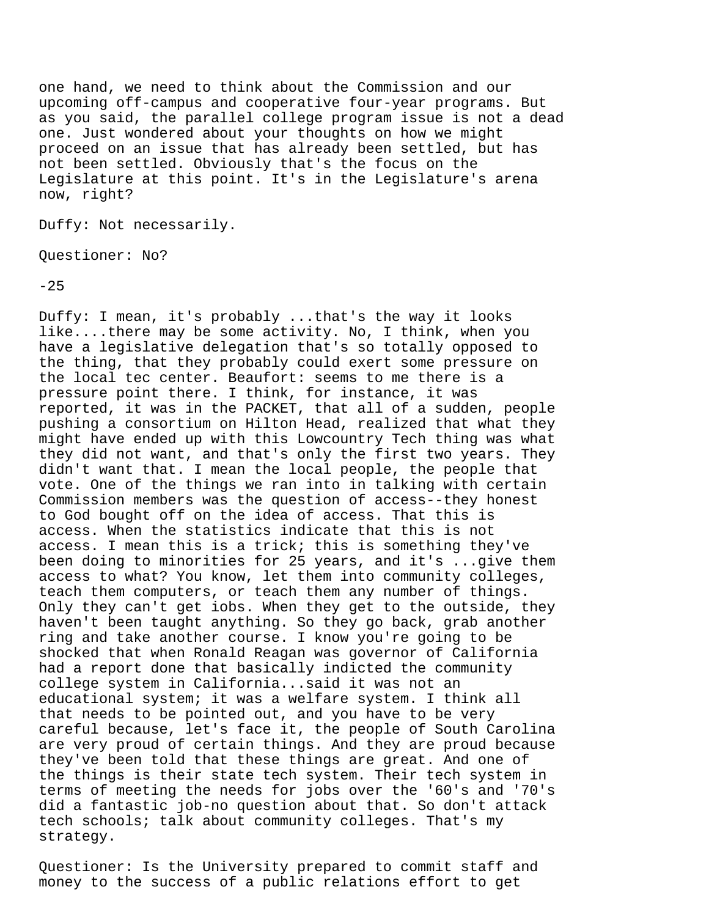one hand, we need to think about the Commission and our upcoming off-campus and cooperative four-year programs. But as you said, the parallel college program issue is not a dead one. Just wondered about your thoughts on how we might proceed on an issue that has already been settled, but has not been settled. Obviously that's the focus on the Legislature at this point. It's in the Legislature's arena now, right?

Duffy: Not necessarily.

Questioner: No?

 $-25$ 

Duffy: I mean, it's probably ...that's the way it looks like....there may be some activity. No, I think, when you have a legislative delegation that's so totally opposed to the thing, that they probably could exert some pressure on the local tec center. Beaufort: seems to me there is a pressure point there. I think, for instance, it was reported, it was in the PACKET, that all of a sudden, people pushing a consortium on Hilton Head, realized that what they might have ended up with this Lowcountry Tech thing was what they did not want, and that's only the first two years. They didn't want that. I mean the local people, the people that vote. One of the things we ran into in talking with certain Commission members was the question of access--they honest to God bought off on the idea of access. That this is access. When the statistics indicate that this is not access. I mean this is a trick; this is something they've been doing to minorities for 25 years, and it's ...give them access to what? You know, let them into community colleges, teach them computers, or teach them any number of things. Only they can't get iobs. When they get to the outside, they haven't been taught anything. So they go back, grab another ring and take another course. I know you're going to be shocked that when Ronald Reagan was governor of California had a report done that basically indicted the community college system in California...said it was not an educational system; it was a welfare system. I think all that needs to be pointed out, and you have to be very careful because, let's face it, the people of South Carolina are very proud of certain things. And they are proud because they've been told that these things are great. And one of the things is their state tech system. Their tech system in terms of meeting the needs for jobs over the '60's and '70's did a fantastic job-no question about that. So don't attack tech schools; talk about community colleges. That's my strategy.

Questioner: Is the University prepared to commit staff and money to the success of a public relations effort to get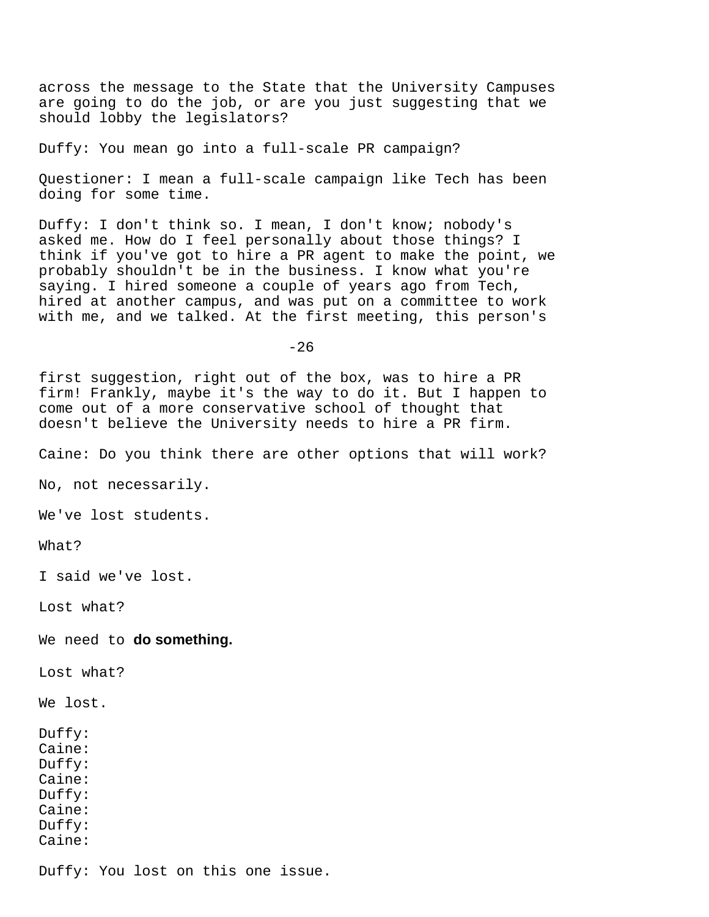across the message to the State that the University Campuses are going to do the job, or are you just suggesting that we should lobby the legislators?

Duffy: You mean go into a full-scale PR campaign?

Questioner: I mean a full-scale campaign like Tech has been doing for some time.

Duffy: I don't think so. I mean, I don't know; nobody's asked me. How do I feel personally about those things? I think if you've got to hire a PR agent to make the point, we probably shouldn't be in the business. I know what you're saying. I hired someone a couple of years ago from Tech, hired at another campus, and was put on a committee to work with me, and we talked. At the first meeting, this person's

 $-26$ 

first suggestion, right out of the box, was to hire a PR firm! Frankly, maybe it's the way to do it. But I happen to come out of a more conservative school of thought that doesn't believe the University needs to hire a PR firm.

Caine: Do you think there are other options that will work?

No, not necessarily.

We've lost students.

What?

I said we've lost.

Lost what?

We need to **do something.**

Lost what?

We lost.

Duffy: Caine: Duffy: Caine: Duffy: Caine: Duffy: Caine:

Duffy: You lost on this one issue.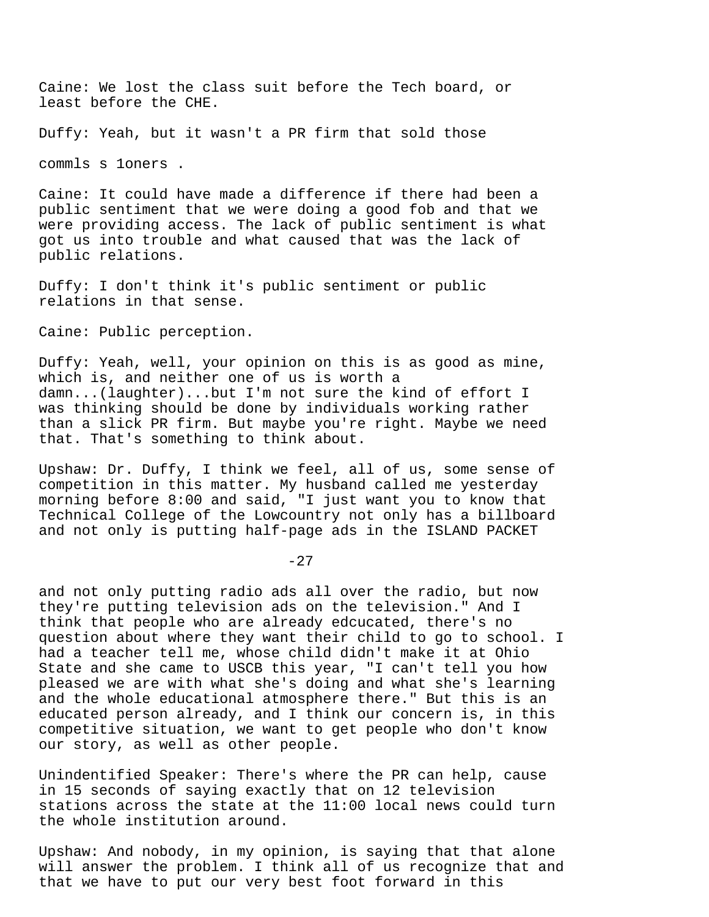Caine: We lost the class suit before the Tech board, or least before the CHE.

Duffy: Yeah, but it wasn't a PR firm that sold those

commls s 1oners .

Caine: It could have made a difference if there had been a public sentiment that we were doing a good fob and that we were providing access. The lack of public sentiment is what got us into trouble and what caused that was the lack of public relations.

Duffy: I don't think it's public sentiment or public relations in that sense.

Caine: Public perception.

Duffy: Yeah, well, your opinion on this is as good as mine, which is, and neither one of us is worth a damn...(laughter)...but I'm not sure the kind of effort I was thinking should be done by individuals working rather than a slick PR firm. But maybe you're right. Maybe we need that. That's something to think about.

Upshaw: Dr. Duffy, I think we feel, all of us, some sense of competition in this matter. My husband called me yesterday morning before 8:00 and said, "I just want you to know that Technical College of the Lowcountry not only has a billboard and not only is putting half-page ads in the ISLAND PACKET

 $-27$ 

and not only putting radio ads all over the radio, but now they're putting television ads on the television." And I think that people who are already edcucated, there's no question about where they want their child to go to school. I had a teacher tell me, whose child didn't make it at Ohio State and she came to USCB this year, "I can't tell you how pleased we are with what she's doing and what she's learning and the whole educational atmosphere there." But this is an educated person already, and I think our concern is, in this competitive situation, we want to get people who don't know our story, as well as other people.

Unindentified Speaker: There's where the PR can help, cause in 15 seconds of saying exactly that on 12 television stations across the state at the 11:00 local news could turn the whole institution around.

Upshaw: And nobody, in my opinion, is saying that that alone will answer the problem. I think all of us recognize that and that we have to put our very best foot forward in this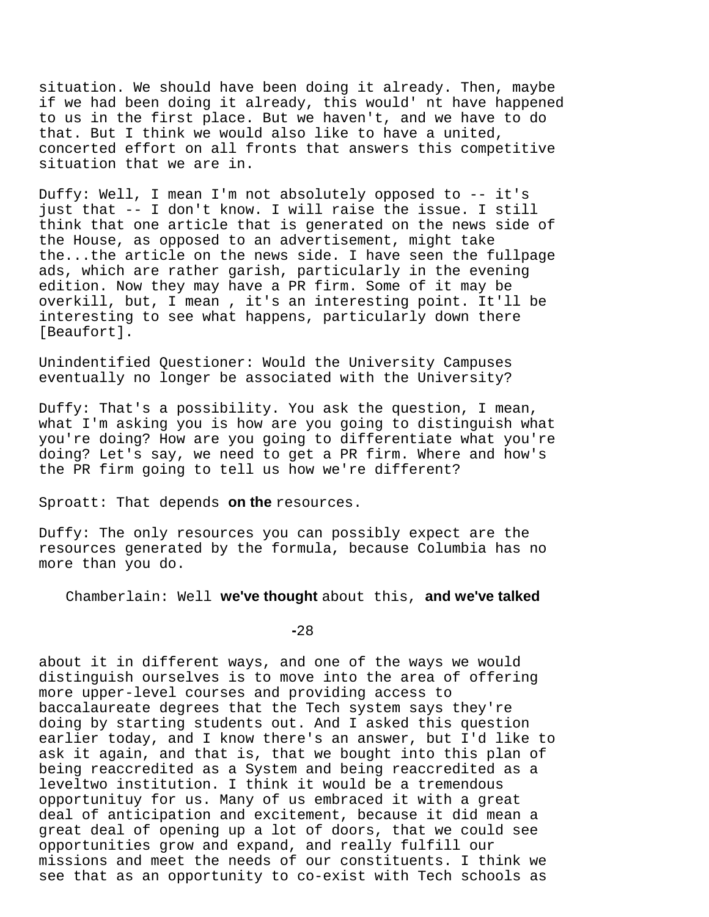situation. We should have been doing it already. Then, maybe if we had been doing it already, this would' nt have happened to us in the first place. But we haven't, and we have to do that. But I think we would also like to have a united, concerted effort on all fronts that answers this competitive situation that we are in.

Duffy: Well, I mean I'm not absolutely opposed to -- it's just that -- I don't know. I will raise the issue. I still think that one article that is generated on the news side of the House, as opposed to an advertisement, might take the...the article on the news side. I have seen the fullpage ads, which are rather garish, particularly in the evening edition. Now they may have a PR firm. Some of it may be overkill, but, I mean , it's an interesting point. It'll be interesting to see what happens, particularly down there [Beaufort].

Unindentified Questioner: Would the University Campuses eventually no longer be associated with the University?

Duffy: That's a possibility. You ask the question, I mean, what I'm asking you is how are you going to distinguish what you're doing? How are you going to differentiate what you're doing? Let's say, we need to get a PR firm. Where and how's the PR firm going to tell us how we're different?

Sproatt: That depends **on the** resources.

Duffy: The only resources you can possibly expect are the resources generated by the formula, because Columbia has no more than you do.

Chamberlain: Well **we've thought** about this, **and we've talked**

**-**28

about it in different ways, and one of the ways we would distinguish ourselves is to move into the area of offering more upper-level courses and providing access to baccalaureate degrees that the Tech system says they're doing by starting students out. And I asked this question earlier today, and I know there's an answer, but I'd like to ask it again, and that is, that we bought into this plan of being reaccredited as a System and being reaccredited as a leveltwo institution. I think it would be a tremendous opportunituy for us. Many of us embraced it with a great deal of anticipation and excitement, because it did mean a great deal of opening up a lot of doors, that we could see opportunities grow and expand, and really fulfill our missions and meet the needs of our constituents. I think we see that as an opportunity to co-exist with Tech schools as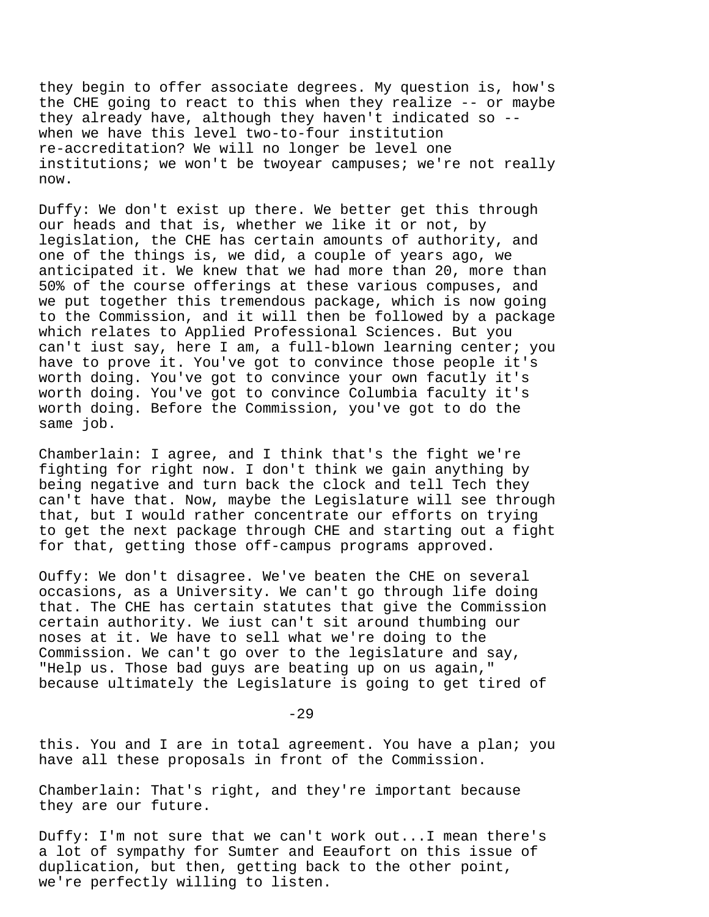they begin to offer associate degrees. My question is, how's the CHE going to react to this when they realize -- or maybe they already have, although they haven't indicated so - when we have this level two-to-four institution re-accreditation? We will no longer be level one institutions; we won't be twoyear campuses; we're not really now.

Duffy: We don't exist up there. We better get this through our heads and that is, whether we like it or not, by legislation, the CHE has certain amounts of authority, and one of the things is, we did, a couple of years ago, we anticipated it. We knew that we had more than 20, more than 50% of the course offerings at these various compuses, and we put together this tremendous package, which is now going to the Commission, and it will then be followed by a package which relates to Applied Professional Sciences. But you can't iust say, here I am, a full-blown learning center; you have to prove it. You've got to convince those people it's worth doing. You've got to convince your own facutly it's worth doing. You've got to convince Columbia faculty it's worth doing. Before the Commission, you've got to do the same job.

Chamberlain: I agree, and I think that's the fight we're fighting for right now. I don't think we gain anything by being negative and turn back the clock and tell Tech they can't have that. Now, maybe the Legislature will see through that, but I would rather concentrate our efforts on trying to get the next package through CHE and starting out a fight for that, getting those off-campus programs approved.

Ouffy: We don't disagree. We've beaten the CHE on several occasions, as a University. We can't go through life doing that. The CHE has certain statutes that give the Commission certain authority. We iust can't sit around thumbing our noses at it. We have to sell what we're doing to the Commission. We can't go over to the legislature and say, "Help us. Those bad guys are beating up on us again," because ultimately the Legislature is going to get tired of

 $-29$ 

this. You and I are in total agreement. You have a plan; you have all these proposals in front of the Commission.

Chamberlain: That's right, and they're important because they are our future.

Duffy: I'm not sure that we can't work out...I mean there's a lot of sympathy for Sumter and Eeaufort on this issue of duplication, but then, getting back to the other point, we're perfectly willing to listen.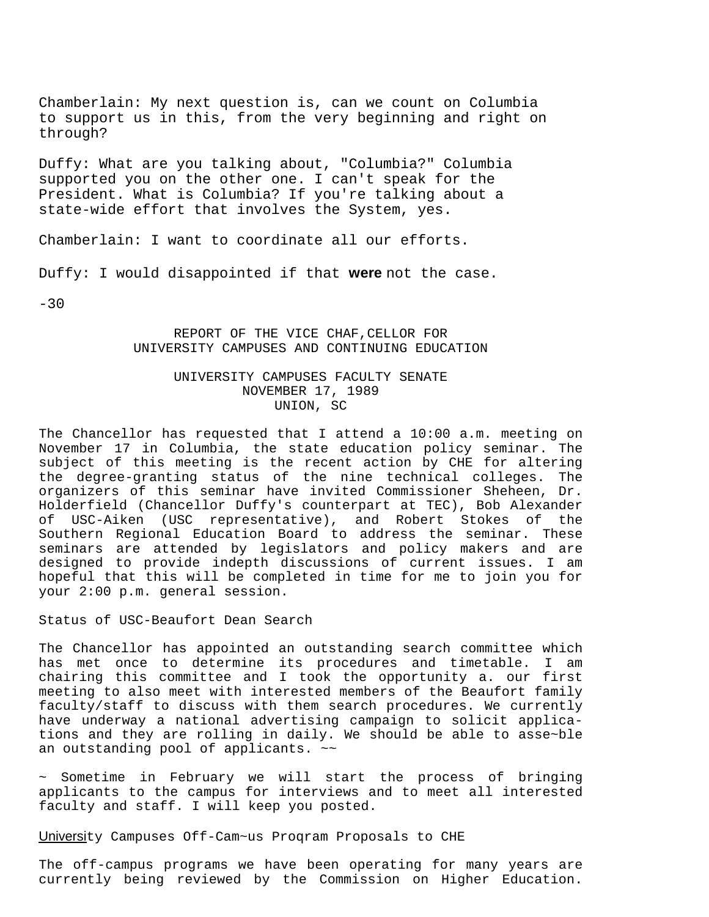Chamberlain: My next question is, can we count on Columbia to support us in this, from the very beginning and right on through?

Duffy: What are you talking about, "Columbia?" Columbia supported you on the other one. I can't speak for the President. What is Columbia? If you're talking about a state-wide effort that involves the System, yes.

Chamberlain: I want to coordinate all our efforts.

Duffy: I would disappointed if that **were** not the case.

 $-30$ 

REPORT OF THE VICE CHAF, CELLOR FOR UNIVERSITY CAMPUSES AND CONTINUING EDUCATION

# UNIVERSITY CAMPUSES FACULTY SENATE NOVEMBER 17, 1989 UNION, SC

The Chancellor has requested that I attend a 10:00 a.m. meeting on November 17 in Columbia, the state education policy seminar. The subject of this meeting is the recent action by CHE for altering the degree-granting status of the nine technical colleges. The organizers of this seminar have invited Commissioner Sheheen, Dr. Holderfield (Chancellor Duffy's counterpart at TEC), Bob Alexander of USC-Aiken (USC representative), and Robert Stokes of the Southern Regional Education Board to address the seminar. These seminars are attended by legislators and policy makers and are designed to provide indepth discussions of current issues. I am hopeful that this will be completed in time for me to join you for your 2:00 p.m. general session.

Status of USC-Beaufort Dean Search

The Chancellor has appointed an outstanding search committee which has met once to determine its procedures and timetable. I am chairing this committee and I took the opportunity a. our first meeting to also meet with interested members of the Beaufort family faculty/staff to discuss with them search procedures. We currently have underway a national advertising campaign to solicit applications and they are rolling in daily. We should be able to asse~ble an outstanding pool of applicants.  $\sim$ 

~ Sometime in February we will start the process of bringing applicants to the campus for interviews and to meet all interested faculty and staff. I will keep you posted.

University Campuses Off-Cam~us Proqram Proposals to CHE

The off-campus programs we have been operating for many years are currently being reviewed by the Commission on Higher Education.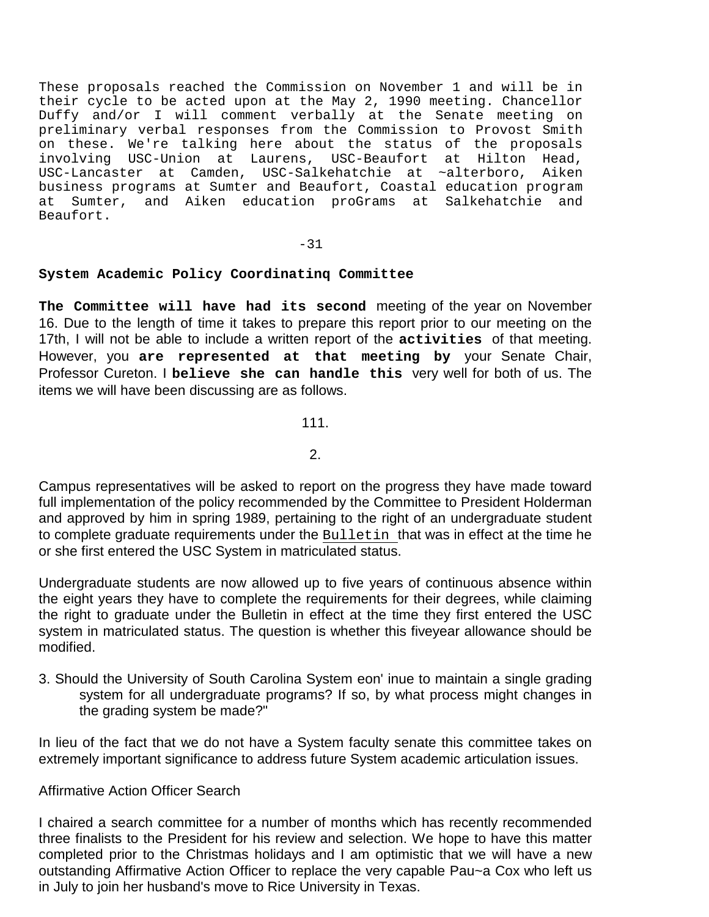These proposals reached the Commission on November 1 and will be in their cycle to be acted upon at the May 2, 1990 meeting. Chancellor Duffy and/or I will comment verbally at the Senate meeting on preliminary verbal responses from the Commission to Provost Smith on these. We're talking here about the status of the proposals involving USC-Union at Laurens, USC-Beaufort at Hilton Head, USC-Lancaster at Camden, USC-Salkehatchie at ~alterboro, Aiken business programs at Sumter and Beaufort, Coastal education program at Sumter, and Aiken education proGrams at Salkehatchie and Beaufort.

 $-31$ 

# **System Academic Policy Coordinatinq Committee**

**The Committee will have had its second** meeting of the year on November 16. Due to the length of time it takes to prepare this report prior to our meeting on the 17th, I will not be able to include a written report of the **activities** of that meeting. However, you **are represented at that meeting by** your Senate Chair, Professor Cureton. I **believe she can handle this** very well for both of us. The items we will have been discussing are as follows.

111.

2.

Campus representatives will be asked to report on the progress they have made toward full implementation of the policy recommended by the Committee to President Holderman and approved by him in spring 1989, pertaining to the right of an undergraduate student to complete graduate requirements under the Bulletin that was in effect at the time he or she first entered the USC System in matriculated status.

Undergraduate students are now allowed up to five years of continuous absence within the eight years they have to complete the requirements for their degrees, while claiming the right to graduate under the Bulletin in effect at the time they first entered the USC system in matriculated status. The question is whether this fiveyear allowance should be modified.

3. Should the University of South Carolina System eon' inue to maintain a single grading system for all undergraduate programs? If so, by what process might changes in the grading system be made?"

In lieu of the fact that we do not have a System faculty senate this committee takes on extremely important significance to address future System academic articulation issues.

# Affirmative Action Officer Search

I chaired a search committee for a number of months which has recently recommended three finalists to the President for his review and selection. We hope to have this matter completed prior to the Christmas holidays and I am optimistic that we will have a new outstanding Affirmative Action Officer to replace the very capable Pau~a Cox who left us in July to join her husband's move to Rice University in Texas.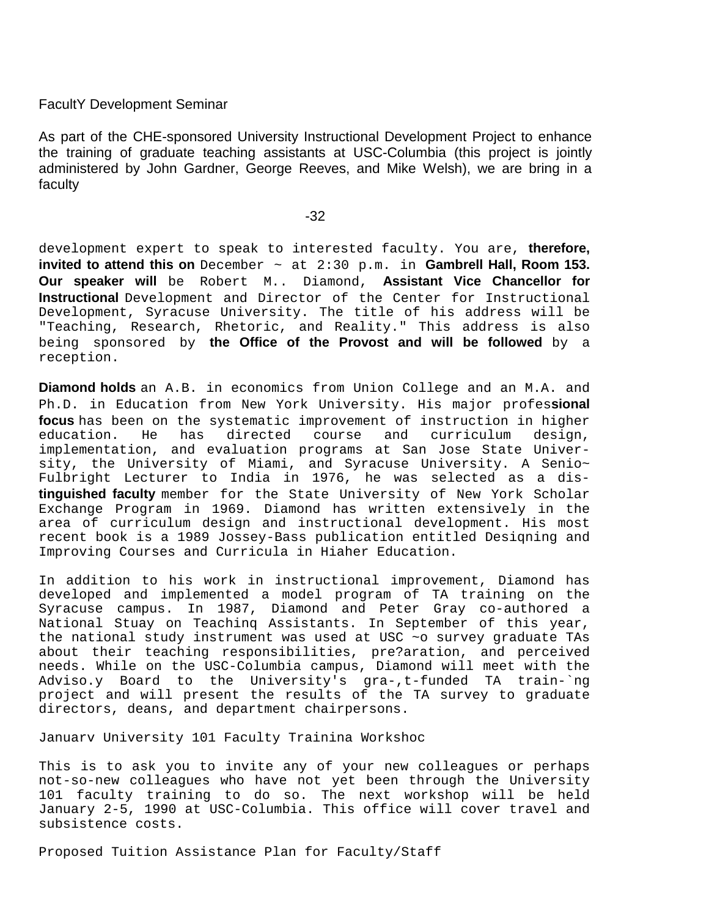# FacultY Development Seminar

As part of the CHE-sponsored University Instructional Development Project to enhance the training of graduate teaching assistants at USC-Columbia (this project is jointly administered by John Gardner, George Reeves, and Mike Welsh), we are bring in a faculty

development expert to speak to interested faculty. You are, **therefore, invited to attend this on** December ~ at 2:30 p.m. in **Gambrell Hall, Room 153. Our speaker will** be Robert M.. Diamond, **Assistant Vice Chancellor for Instructional** Development and Director of the Center for Instructional Development, Syracuse University. The title of his address will be "Teaching, Research, Rhetoric, and Reality." This address is also being sponsored by **the Office of the Provost and will be followed** by a reception.

**Diamond holds** an A.B. in economics from Union College and an M.A. and Ph.D. in Education from New York University. His major profes**sional focus** has been on the systematic improvement of instruction in higher education. He has directed course and curriculum design, has directed course and curriculum implementation, and evaluation programs at San Jose State University, the University of Miami, and Syracuse University. A Senio~ Fulbright Lecturer to India in 1976, he was selected as a dis**tinguished faculty** member for the State University of New York Scholar Exchange Program in 1969. Diamond has written extensively in the area of curriculum design and instructional development. His most recent book is a 1989 Jossey-Bass publication entitled Desiqning and Improving Courses and Curricula in Hiaher Education.

In addition to his work in instructional improvement, Diamond has developed and implemented a model program of TA training on the Syracuse campus. In 1987, Diamond and Peter Gray co-authored a National Stuay on Teachinq Assistants. In September of this year, the national study instrument was used at USC ~o survey graduate TAs about their teaching responsibilities, pre?aration, and perceived needs. While on the USC-Columbia campus, Diamond will meet with the Adviso.y Board to the University's gra-,t-funded TA train-`ng project and will present the results of the TA survey to graduate directors, deans, and department chairpersons.

Januarv University 101 Faculty Trainina Workshoc

This is to ask you to invite any of your new colleagues or perhaps not-so-new colleagues who have not yet been through the University 101 faculty training to do so. The next workshop will be held January 2-5, 1990 at USC-Columbia. This office will cover travel and subsistence costs.

Proposed Tuition Assistance Plan for Faculty/Staff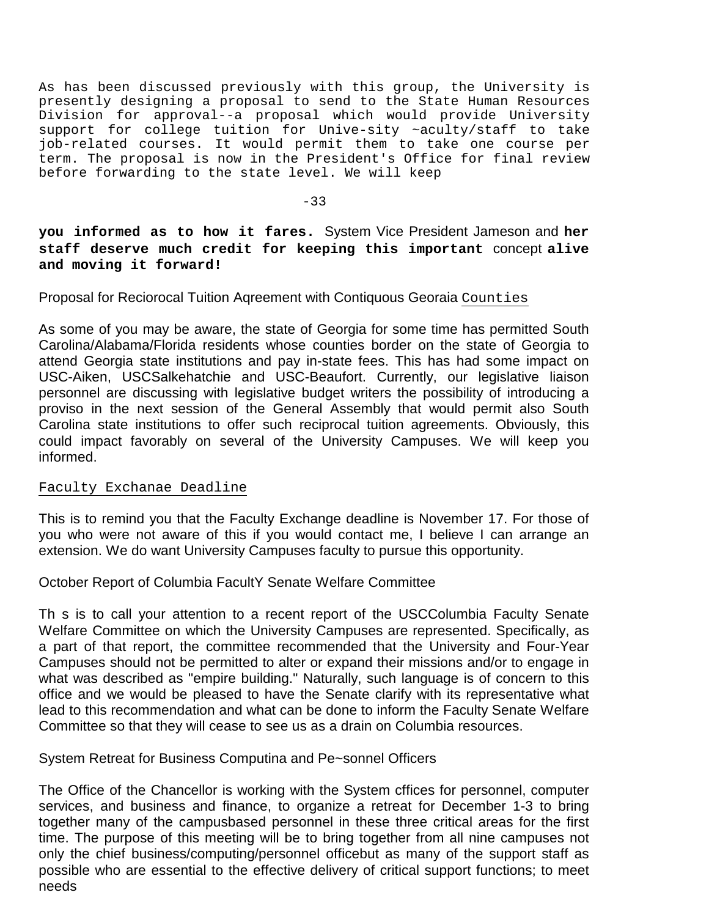As has been discussed previously with this group, the University is presently designing a proposal to send to the State Human Resources Division for approval--a proposal which would provide University support for college tuition for Unive-sity ~aculty/staff to take job-related courses. It would permit them to take one course per term. The proposal is now in the President's Office for final review before forwarding to the state level. We will keep

-33

**you informed as to how it fares.** System Vice President Jameson and **her staff deserve much credit for keeping this important** concept **alive and moving it forward!**

Proposal for Reciorocal Tuition Aqreement with Contiquous Georaia Counties

As some of you may be aware, the state of Georgia for some time has permitted South Carolina/Alabama/Florida residents whose counties border on the state of Georgia to attend Georgia state institutions and pay in-state fees. This has had some impact on USC-Aiken, USCSalkehatchie and USC-Beaufort. Currently, our legislative liaison personnel are discussing with legislative budget writers the possibility of introducing a proviso in the next session of the General Assembly that would permit also South Carolina state institutions to offer such reciprocal tuition agreements. Obviously, this could impact favorably on several of the University Campuses. We will keep you informed.

# Faculty Exchanae Deadline

This is to remind you that the Faculty Exchange deadline is November 17. For those of you who were not aware of this if you would contact me, I believe I can arrange an extension. We do want University Campuses faculty to pursue this opportunity.

October Report of Columbia FacultY Senate Welfare Committee

Th s is to call your attention to a recent report of the USCColumbia Faculty Senate Welfare Committee on which the University Campuses are represented. Specifically, as a part of that report, the committee recommended that the University and Four-Year Campuses should not be permitted to alter or expand their missions and/or to engage in what was described as "empire building." Naturally, such language is of concern to this office and we would be pleased to have the Senate clarify with its representative what lead to this recommendation and what can be done to inform the Faculty Senate Welfare Committee so that they will cease to see us as a drain on Columbia resources.

System Retreat for Business Computina and Pe~sonnel Officers

The Office of the Chancellor is working with the System cffices for personnel, computer services, and business and finance, to organize a retreat for December 1-3 to bring together many of the campusbased personnel in these three critical areas for the first time. The purpose of this meeting will be to bring together from all nine campuses not only the chief business/computing/personnel officebut as many of the support staff as possible who are essential to the effective delivery of critical support functions; to meet needs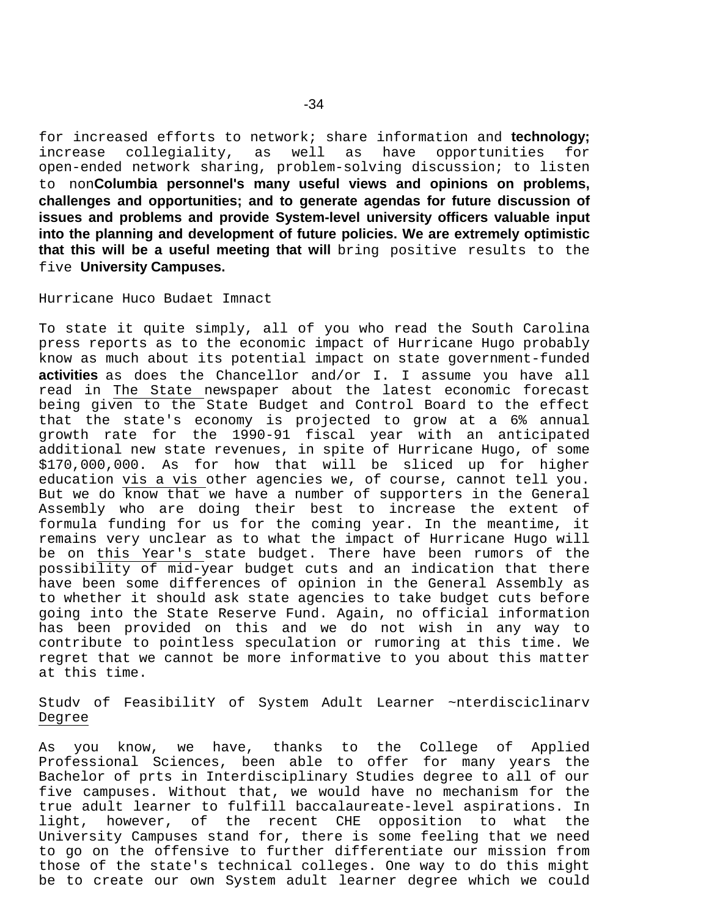for increased efforts to network; share information and **technology;**  increase collegiality, open-ended network sharing, problem-solving discussion; to listen to non**Columbia personnel's many useful views and opinions on problems, challenges and opportunities; and to generate agendas for future discussion of issues and problems and provide System-level university officers valuable input into the planning and development of future policies. We are extremely optimistic that this will be a useful meeting that will** bring positive results to the five **University Campuses.**

## Hurricane Huco Budaet Imnact

To state it quite simply, all of you who read the South Carolina press reports as to the economic impact of Hurricane Hugo probably know as much about its potential impact on state government-funded **activities** as does the Chancellor and/or I. I assume you have all read in The State newspaper about the latest economic forecast being given to the State Budget and Control Board to the effect that the state's economy is projected to grow at a 6% annual growth rate for the 1990-91 fiscal year with an anticipated additional new state revenues, in spite of Hurricane Hugo, of some \$170,000,000. As for how that will be sliced up for higher education vis a vis other agencies we, of course, cannot tell you. But we do know that we have a number of supporters in the General Assembly who are doing their best to increase the extent of formula funding for us for the coming year. In the meantime, it remains very unclear as to what the impact of Hurricane Hugo will be on this Year's state budget. There have been rumors of the possibility of mid-year budget cuts and an indication that there have been some differences of opinion in the General Assembly as to whether it should ask state agencies to take budget cuts before going into the State Reserve Fund. Again, no official information has been provided on this and we do not wish in any way to contribute to pointless speculation or rumoring at this time. We regret that we cannot be more informative to you about this matter at this time.

Studv of FeasibilitY of System Adult Learner ~nterdisciclinarv Degree

As you know, we have, thanks to the College of Applied Professional Sciences, been able to offer for many years the Bachelor of prts in Interdisciplinary Studies degree to all of our five campuses. Without that, we would have no mechanism for the true adult learner to fulfill baccalaureate-level aspirations. In light, however, of the recent CHE opposition to what the University Campuses stand for, there is some feeling that we need to go on the offensive to further differentiate our mission from those of the state's technical colleges. One way to do this might be to create our own System adult learner degree which we could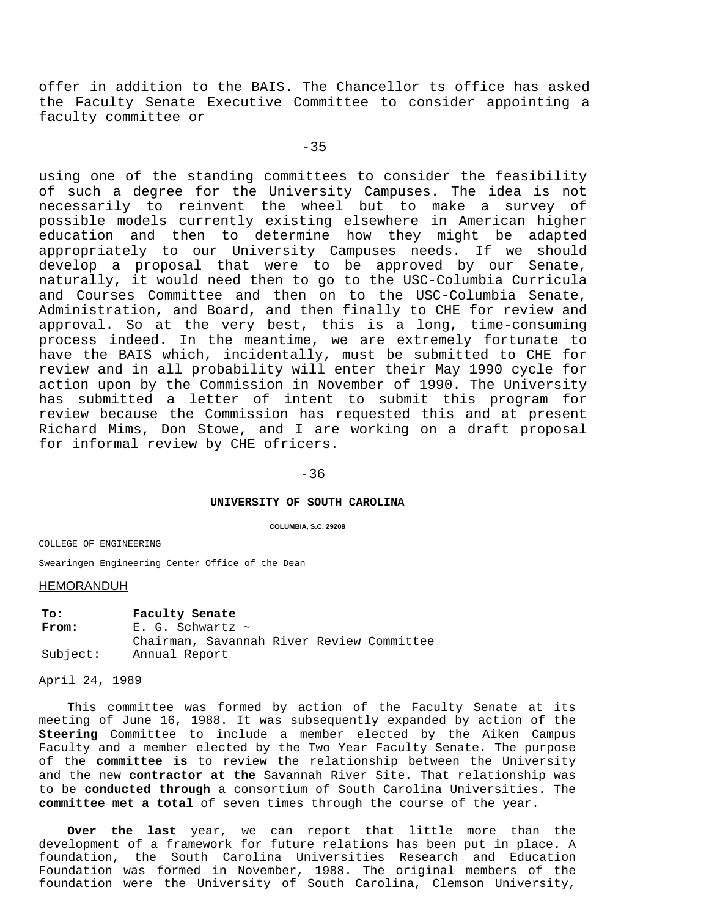offer in addition to the BAIS. The Chancellor ts office has asked the Faculty Senate Executive Committee to consider appointing a faculty committee or

 $-35$ 

using one of the standing committees to consider the feasibility of such a degree for the University Campuses. The idea is not necessarily to reinvent the wheel but to make a survey of possible models currently existing elsewhere in American higher education and then to determine how they might be adapted appropriately to our University Campuses needs. If we should develop a proposal that were to be approved by our Senate, naturally, it would need then to go to the USC-Columbia Curricula and Courses Committee and then on to the USC-Columbia Senate, Administration, and Board, and then finally to CHE for review and approval. So at the very best, this is a long, time-consuming process indeed. In the meantime, we are extremely fortunate to have the BAIS which, incidentally, must be submitted to CHE for review and in all probability will enter their May 1990 cycle for action upon by the Commission in November of 1990. The University has submitted a letter of intent to submit this program for review because the Commission has requested this and at present Richard Mims, Don Stowe, and I are working on a draft proposal for informal review by CHE ofricers.

#### -36

## **UNIVERSITY OF SOUTH CAROLINA**

#### **COLUMBIA, S.C. 29208**

COLLEGE OF ENGINEERING

Swearingen Engineering Center Office of the Dean

#### **HEMORANDUH**

**To: Faculty Senate** From: E. G. Schwartz ~ Chairman, Savannah River Review Committee Subject: Annual Report

April 24, 1989

This committee was formed by action of the Faculty Senate at its meeting of June 16, 1988. It was subsequently expanded by action of the **Steering** Committee to include a member elected by the Aiken Campus Faculty and a member elected by the Two Year Faculty Senate. The purpose of the **committee is** to review the relationship between the University and the new **contractor at the** Savannah River Site. That relationship was to be **conducted through** a consortium of South Carolina Universities. The **committee met a total** of seven times through the course of the year.

**Over the last** year, we can report that little more than the development of a framework for future relations has been put in place. A foundation, the South Carolina Universities Research and Education Foundation was formed in November, 1988. The original members of the foundation were the University of South Carolina, Clemson University,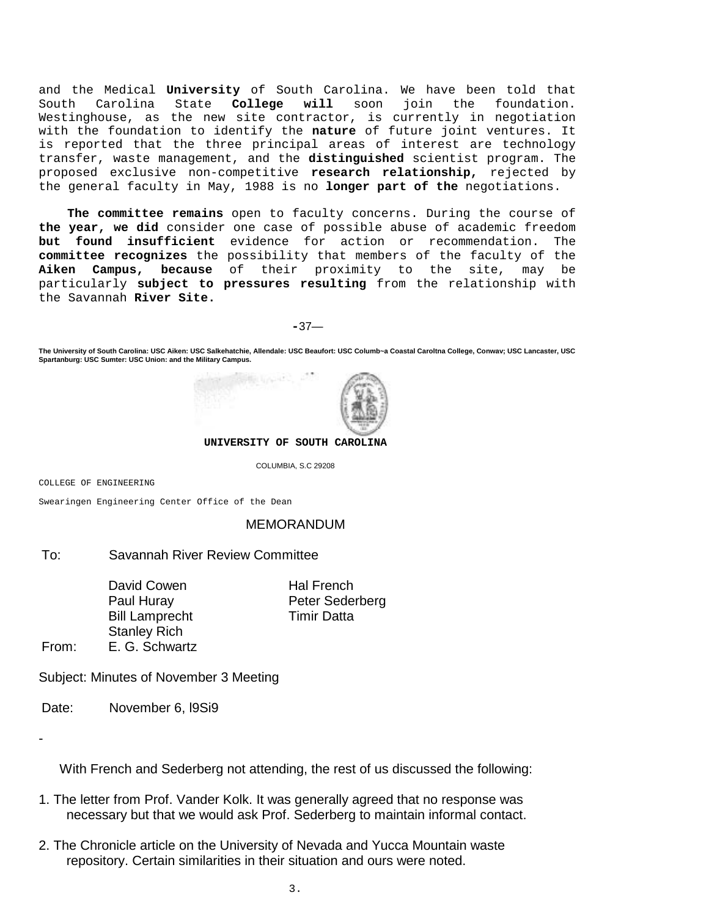and the Medical **University** of South Carolina. We have been told that  $\frac{1}{\pi}$  ioin the foundation. Westinghouse, as the new site contractor, is currently in negotiation with the foundation to identify the **nature** of future joint ventures. It is reported that the three principal areas of interest are technology transfer, waste management, and the **distinguished** scientist program. The proposed exclusive non-competitive **research relationship,** rejected by the general faculty in May, 1988 is no **longer part of the** negotiations.

**The committee remains** open to faculty concerns. During the course of **the year, we did** consider one case of possible abuse of academic freedom **but found insufficient** evidence for action or recommendation. The **committee recognizes** the possibility that members of the faculty of the **Aiken Campus, because** of their proximity to the site, may be particularly **subject to pressures resulting** from the relationship with the Savannah **River Site.**

**-**37—

**The University of South Carolina: USC Aiken: USC Salkehatchie, Allendale: USC Beaufort: USC Columb~a Coastal Caroltna College, Conwav; USC Lancaster, USC Spartanburg: USC Sumter: USC Union: and the Military Campus.**



**UNIVERSITY OF SOUTH CAROLINA**

COLUMBIA, S.C 29208

COLLEGE OF ENGINEERING

Swearingen Engineering Center Office of the Dean

## MEMORANDUM

# To: Savannah River Review Committee

David Cowen Hal French Bill Lamprecht Timir Datta Stanley Rich

Paul Huray Peter Sederberg

From: E. G. Schwartz

Subject: Minutes of November 3 Meeting

Date: November 6, I9Si9

-

With French and Sederberg not attending, the rest of us discussed the following:

- 1. The letter from Prof. Vander Kolk. It was generally agreed that no response was necessary but that we would ask Prof. Sederberg to maintain informal contact.
- 2. The Chronicle article on the University of Nevada and Yucca Mountain waste repository. Certain similarities in their situation and ours were noted.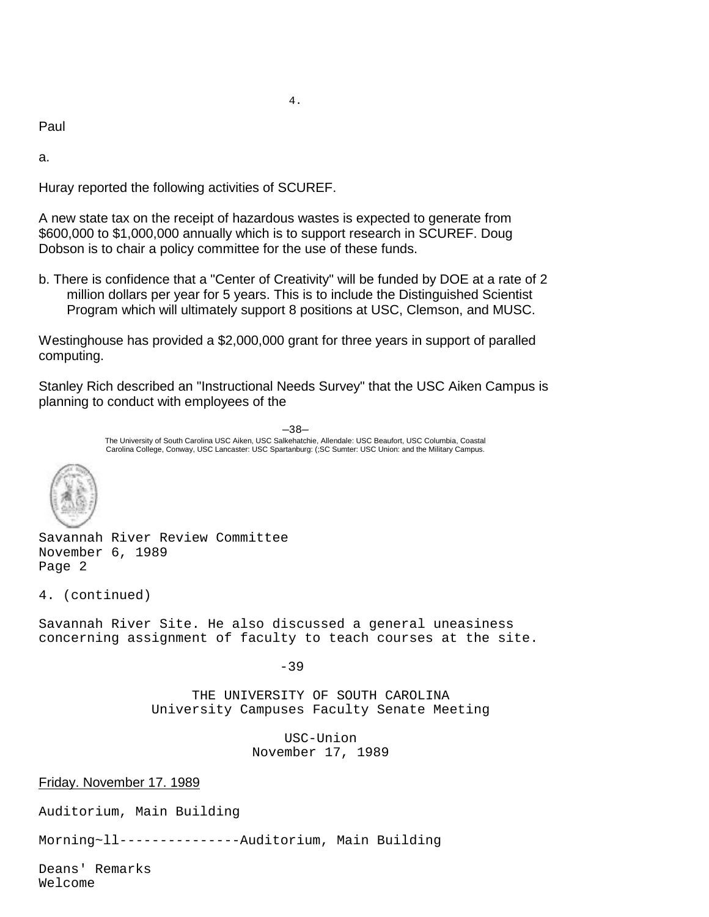Paul

a.

Huray reported the following activities of SCUREF.

A new state tax on the receipt of hazardous wastes is expected to generate from \$600,000 to \$1,000,000 annually which is to support research in SCUREF. Doug Dobson is to chair a policy committee for the use of these funds.

b. There is confidence that a "Center of Creativity" will be funded by DOE at a rate of 2 million dollars per year for 5 years. This is to include the Distinguished Scientist Program which will ultimately support 8 positions at USC, Clemson, and MUSC.

Westinghouse has provided a \$2,000,000 grant for three years in support of paralled computing.

Stanley Rich described an "Instructional Needs Survey" that the USC Aiken Campus is planning to conduct with employees of the

> —38— The University of South Carolina USC Aiken, USC Salkehatchie, Allendale: USC Beaufort, USC Columbia, Coastal Carolina College, Conway, USC Lancaster: USC Spartanburg: (;SC Sumter: USC Union: and the Military Campus.



Savannah River Review Committee November 6, 1989 Page 2

4. (continued)

Savannah River Site. He also discussed a general uneasiness concerning assignment of faculty to teach courses at the site.

-39

THE UNIVERSITY OF SOUTH CAROLINA University Campuses Faculty Senate Meeting

> USC-Union November 17, 1989

Friday. November 17. 1989

Auditorium, Main Building

Morning~ll---------------Auditorium, Main Building

Deans' Remarks Welcome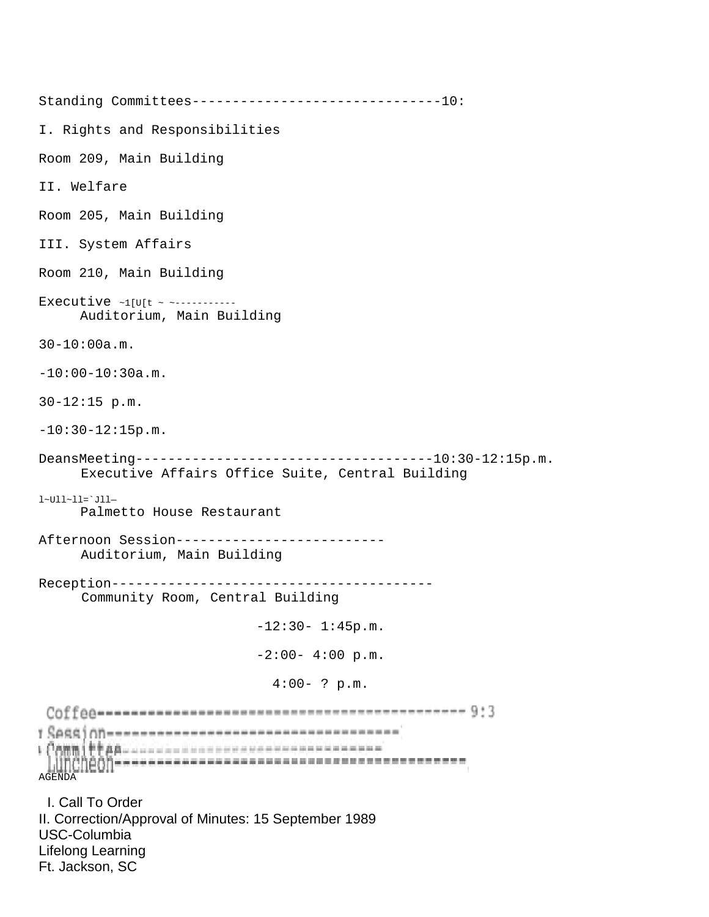Standing Committees-------------------------------10: I. Rights and Responsibilities Room 209, Main Building II. Welfare Room 205, Main Building III. System Affairs Room 210, Main Building Executive ~1[U[t ~ ~----------- Auditorium, Main Building 30-10:00a.m. -10:00-10:30a.m. 30-12:15 p.m.  $-10:30-12:15p.m.$ DeansMeeting-------------------------------------10:30-12:15p.m. Executive Affairs Office Suite, Central Building l~Ull~ll=`Jll— Palmetto House Restaurant Afternoon Session-------------------------- Auditorium, Main Building Reception---------------------------------------- Community Room, Central Building  $-12:30-1:45p.m.$  $-2:00-4:00 p.m.$ 4:00- ? p.m. <u>1 SARRj оп-ниннинниннинниннинниннинниннин (</u> AGENDA I. Call To Order II. Correction/Approval of Minutes: 15 September 1989 USC-Columbia Lifelong Learning Ft. Jackson, SC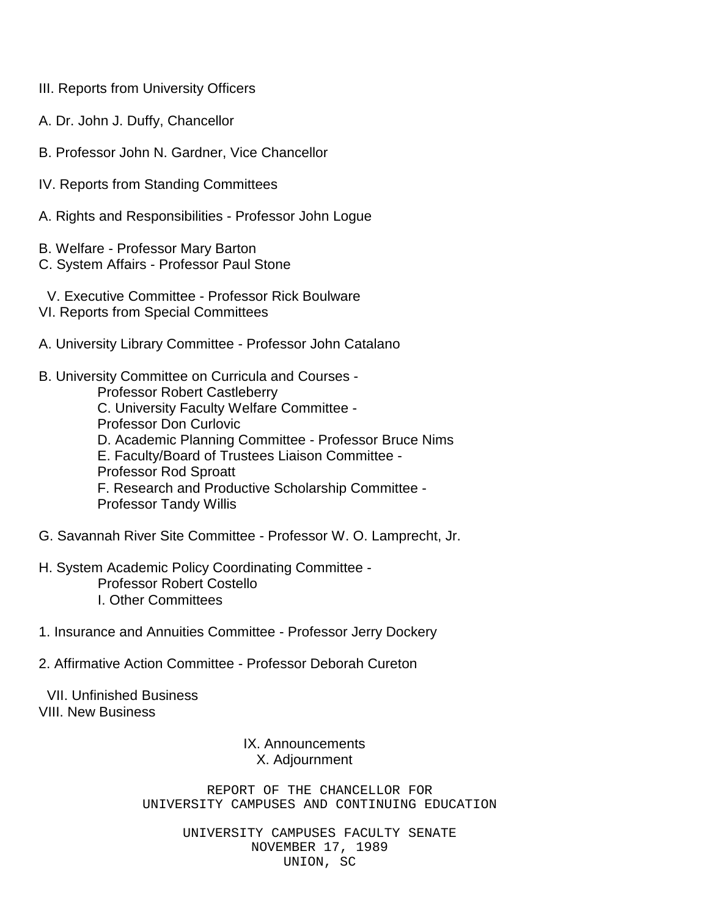- III. Reports from University Officers
- A. Dr. John J. Duffy, Chancellor
- B. Professor John N. Gardner, Vice Chancellor
- IV. Reports from Standing Committees
- A. Rights and Responsibilities Professor John Logue
- B. Welfare Professor Mary Barton
- C. System Affairs Professor Paul Stone
- V. Executive Committee Professor Rick Boulware
- VI. Reports from Special Committees
- A. University Library Committee Professor John Catalano
- B. University Committee on Curricula and Courses Professor Robert Castleberry C. University Faculty Welfare Committee - Professor Don Curlovic D. Academic Planning Committee - Professor Bruce Nims E. Faculty/Board of Trustees Liaison Committee - Professor Rod Sproatt F. Research and Productive Scholarship Committee - Professor Tandy Willis
- G. Savannah River Site Committee Professor W. O. Lamprecht, Jr.
- H. System Academic Policy Coordinating Committee Professor Robert Costello I. Other Committees
- 1. Insurance and Annuities Committee Professor Jerry Dockery
- 2. Affirmative Action Committee Professor Deborah Cureton

VII. Unfinished Business VIII. New Business

# IX. Announcements X. Adjournment

REPORT OF THE CHANCELLOR FOR UNIVERSITY CAMPUSES AND CONTINUING EDUCATION

> UNIVERSITY CAMPUSES FACULTY SENATE NOVEMBER 17, 1989 UNION, SC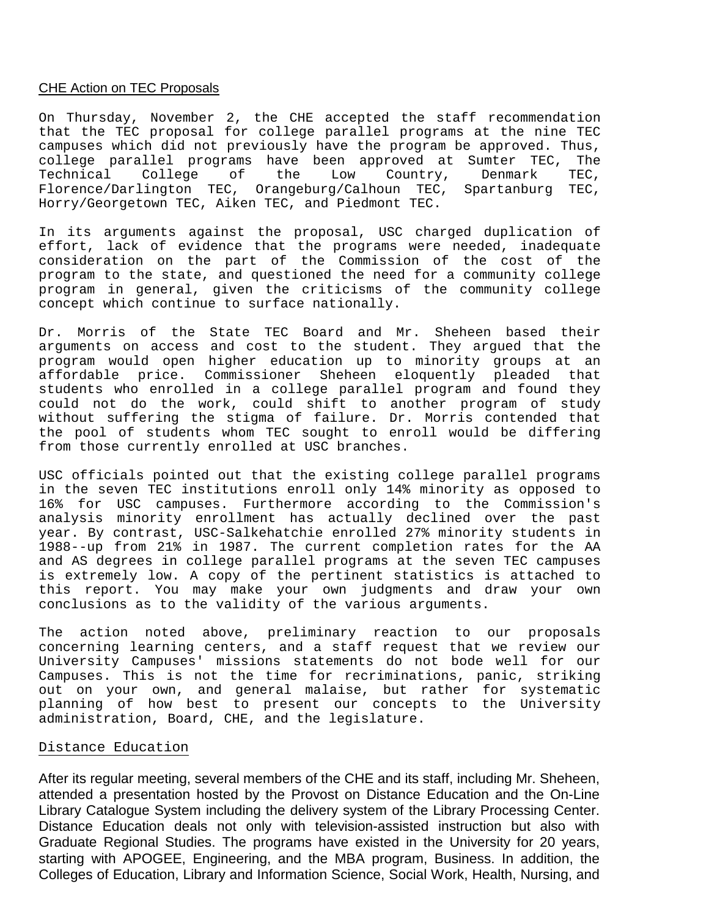## CHE Action on TEC Proposals

On Thursday, November 2, the CHE accepted the staff recommendation that the TEC proposal for college parallel programs at the nine TEC campuses which did not previously have the program be approved. Thus, college parallel programs have been approved at Sumter TEC, The<br>Technical College of the Low Country, Denmark TEC, Technical College of the Low Country, Denmark TEC, Florence/Darlington TEC, Orangeburg/Calhoun TEC, Spartanburg TEC, Horry/Georgetown TEC, Aiken TEC, and Piedmont TEC.

In its arguments against the proposal, USC charged duplication of effort, lack of evidence that the programs were needed, inadequate consideration on the part of the Commission of the cost of the program to the state, and questioned the need for a community college program in general, given the criticisms of the community college concept which continue to surface nationally.

Dr. Morris of the State TEC Board and Mr. Sheheen based their arguments on access and cost to the student. They argued that the program would open higher education up to minority groups at an affordable price. Commissioner Sheheen eloquently pleaded that students who enrolled in a college parallel program and found they could not do the work, could shift to another program of study without suffering the stigma of failure. Dr. Morris contended that the pool of students whom TEC sought to enroll would be differing from those currently enrolled at USC branches.

USC officials pointed out that the existing college parallel programs in the seven TEC institutions enroll only 14% minority as opposed to 16% for USC campuses. Furthermore according to the Commission's analysis minority enrollment has actually declined over the past year. By contrast, USC-Salkehatchie enrolled 27% minority students in 1988--up from 21% in 1987. The current completion rates for the AA and AS degrees in college parallel programs at the seven TEC campuses is extremely low. A copy of the pertinent statistics is attached to this report. You may make your own judgments and draw your own conclusions as to the validity of the various arguments.

The action noted above, preliminary reaction to our proposals concerning learning centers, and a staff request that we review our University Campuses' missions statements do not bode well for our Campuses. This is not the time for recriminations, panic, striking out on your own, and general malaise, but rather for systematic planning of how best to present our concepts to the University administration, Board, CHE, and the legislature.

## Distance Education

After its regular meeting, several members of the CHE and its staff, including Mr. Sheheen, attended a presentation hosted by the Provost on Distance Education and the On-Line Library Catalogue System including the delivery system of the Library Processing Center. Distance Education deals not only with television-assisted instruction but also with Graduate Regional Studies. The programs have existed in the University for 20 years, starting with APOGEE, Engineering, and the MBA program, Business. In addition, the Colleges of Education, Library and Information Science, Social Work, Health, Nursing, and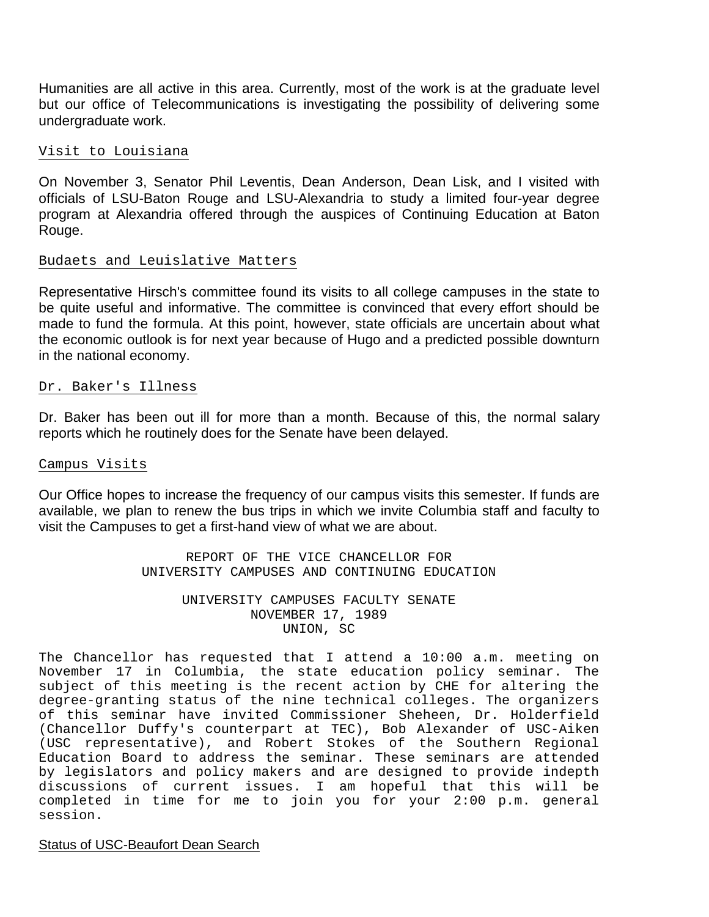Humanities are all active in this area. Currently, most of the work is at the graduate level but our office of Telecommunications is investigating the possibility of delivering some undergraduate work.

# Visit to Louisiana

On November 3, Senator Phil Leventis, Dean Anderson, Dean Lisk, and I visited with officials of LSU-Baton Rouge and LSU-Alexandria to study a limited four-year degree program at Alexandria offered through the auspices of Continuing Education at Baton Rouge.

# Budaets and Leuislative Matters

Representative Hirsch's committee found its visits to all college campuses in the state to be quite useful and informative. The committee is convinced that every effort should be made to fund the formula. At this point, however, state officials are uncertain about what the economic outlook is for next year because of Hugo and a predicted possible downturn in the national economy.

## Dr. Baker's Illness

Dr. Baker has been out ill for more than a month. Because of this, the normal salary reports which he routinely does for the Senate have been delayed.

## Campus Visits

Our Office hopes to increase the frequency of our campus visits this semester. If funds are available, we plan to renew the bus trips in which we invite Columbia staff and faculty to visit the Campuses to get a first-hand view of what we are about.

> REPORT OF THE VICE CHANCELLOR FOR UNIVERSITY CAMPUSES AND CONTINUING EDUCATION

## UNIVERSITY CAMPUSES FACULTY SENATE NOVEMBER 17, 1989 UNION, SC

The Chancellor has requested that I attend a 10:00 a.m. meeting on November 17 in Columbia, the state education policy seminar. The subject of this meeting is the recent action by CHE for altering the degree-granting status of the nine technical colleges. The organizers of this seminar have invited Commissioner Sheheen, Dr. Holderfield (Chancellor Duffy's counterpart at TEC), Bob Alexander of USC-Aiken (USC representative), and Robert Stokes of the Southern Regional Education Board to address the seminar. These seminars are attended by legislators and policy makers and are designed to provide indepth discussions of current issues. I am hopeful that this will be completed in time for me to join you for your 2:00 p.m. general session.

# Status of USC-Beaufort Dean Search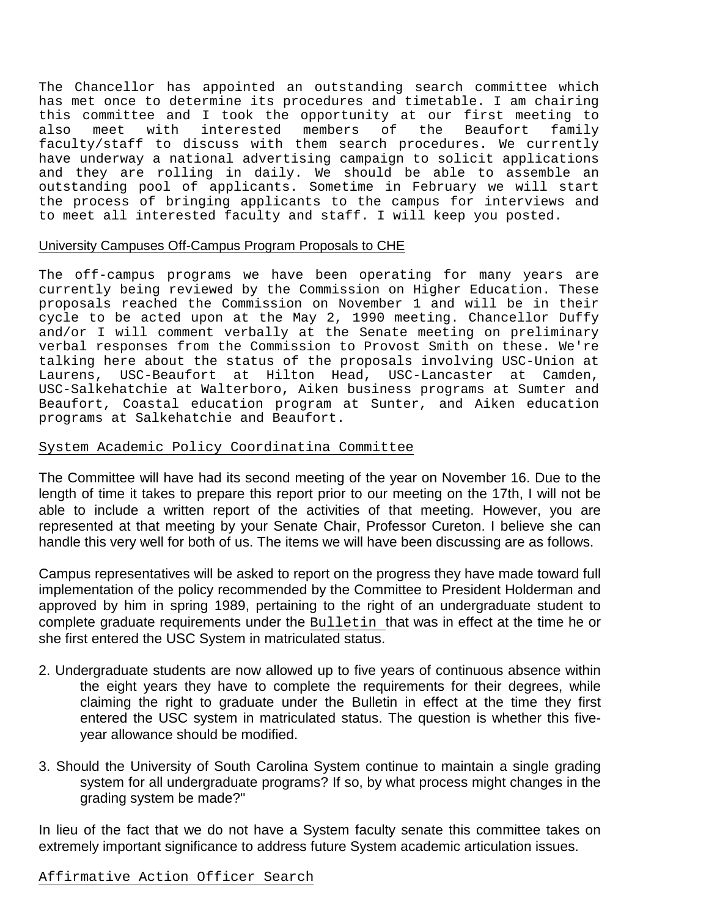The Chancellor has appointed an outstanding search committee which has met once to determine its procedures and timetable. I am chairing this committee and I took the opportunity at our first meeting to<br>also meet with interested members of the Beaufort family also meet with interested members of the Beaufort faculty/staff to discuss with them search procedures. We currently have underway a national advertising campaign to solicit applications and they are rolling in daily. We should be able to assemble an outstanding pool of applicants. Sometime in February we will start the process of bringing applicants to the campus for interviews and to meet all interested faculty and staff. I will keep you posted.

# University Campuses Off-Campus Program Proposals to CHE

The off-campus programs we have been operating for many years are currently being reviewed by the Commission on Higher Education. These proposals reached the Commission on November 1 and will be in their cycle to be acted upon at the May 2, 1990 meeting. Chancellor Duffy and/or I will comment verbally at the Senate meeting on preliminary verbal responses from the Commission to Provost Smith on these. We're talking here about the status of the proposals involving USC-Union at Laurens, USC-Beaufort at Hilton Head, USC-Lancaster at Camden, USC-Salkehatchie at Walterboro, Aiken business programs at Sumter and Beaufort, Coastal education program at Sunter, and Aiken education programs at Salkehatchie and Beaufort.

# System Academic Policy Coordinatina Committee

The Committee will have had its second meeting of the year on November 16. Due to the length of time it takes to prepare this report prior to our meeting on the 17th, I will not be able to include a written report of the activities of that meeting. However, you are represented at that meeting by your Senate Chair, Professor Cureton. I believe she can handle this very well for both of us. The items we will have been discussing are as follows.

Campus representatives will be asked to report on the progress they have made toward full implementation of the policy recommended by the Committee to President Holderman and approved by him in spring 1989, pertaining to the right of an undergraduate student to complete graduate requirements under the Bulletin that was in effect at the time he or she first entered the USC System in matriculated status.

- 2. Undergraduate students are now allowed up to five years of continuous absence within the eight years they have to complete the requirements for their degrees, while claiming the right to graduate under the Bulletin in effect at the time they first entered the USC system in matriculated status. The question is whether this fiveyear allowance should be modified.
- 3. Should the University of South Carolina System continue to maintain a single grading system for all undergraduate programs? If so, by what process might changes in the grading system be made?"

In lieu of the fact that we do not have a System faculty senate this committee takes on extremely important significance to address future System academic articulation issues.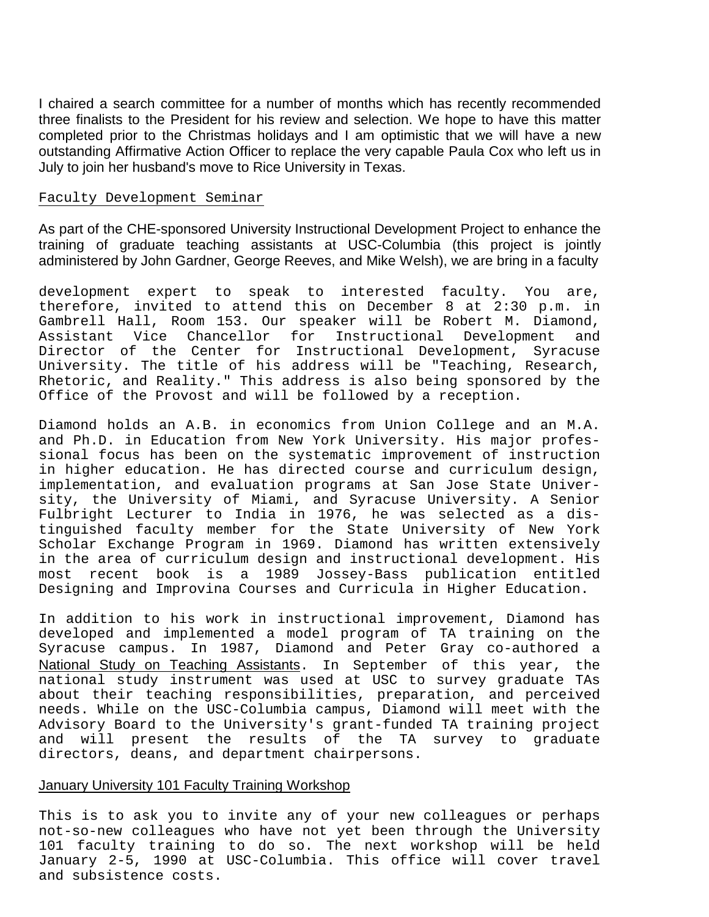I chaired a search committee for a number of months which has recently recommended three finalists to the President for his review and selection. We hope to have this matter completed prior to the Christmas holidays and I am optimistic that we will have a new outstanding Affirmative Action Officer to replace the very capable Paula Cox who left us in July to join her husband's move to Rice University in Texas.

## Faculty Development Seminar

As part of the CHE-sponsored University Instructional Development Project to enhance the training of graduate teaching assistants at USC-Columbia (this project is jointly administered by John Gardner, George Reeves, and Mike Welsh), we are bring in a faculty

development expert to speak to interested faculty. You are, therefore, invited to attend this on December 8 at 2:30 p.m. in Gambrell Hall, Room 153. Our speaker will be Robert M. Diamond, Assistant Vice Chancellor for Instructional Development and Director of the Center for Instructional Development, Syracuse University. The title of his address will be "Teaching, Research, Rhetoric, and Reality." This address is also being sponsored by the Office of the Provost and will be followed by a reception.

Diamond holds an A.B. in economics from Union College and an M.A. and Ph.D. in Education from New York University. His major professional focus has been on the systematic improvement of instruction in higher education. He has directed course and curriculum design, implementation, and evaluation programs at San Jose State University, the University of Miami, and Syracuse University. A Senior Fulbright Lecturer to India in 1976, he was selected as a distinguished faculty member for the State University of New York Scholar Exchange Program in 1969. Diamond has written extensively in the area of curriculum design and instructional development. His most recent book is a 1989 Jossey-Bass publication entitled Designing and Improvina Courses and Curricula in Higher Education.

In addition to his work in instructional improvement, Diamond has developed and implemented a model program of TA training on the Syracuse campus. In 1987, Diamond and Peter Gray co-authored a National Study on Teaching Assistants. In September of this year, the national study instrument was used at USC to survey graduate TAs about their teaching responsibilities, preparation, and perceived needs. While on the USC-Columbia campus, Diamond will meet with the Advisory Board to the University's grant-funded TA training project and will present the results of the TA survey to graduate directors, deans, and department chairpersons.

## January University 101 Faculty Training Workshop

This is to ask you to invite any of your new colleagues or perhaps not-so-new colleagues who have not yet been through the University 101 faculty training to do so. The next workshop will be held January 2-5, 1990 at USC-Columbia. This office will cover travel and subsistence costs.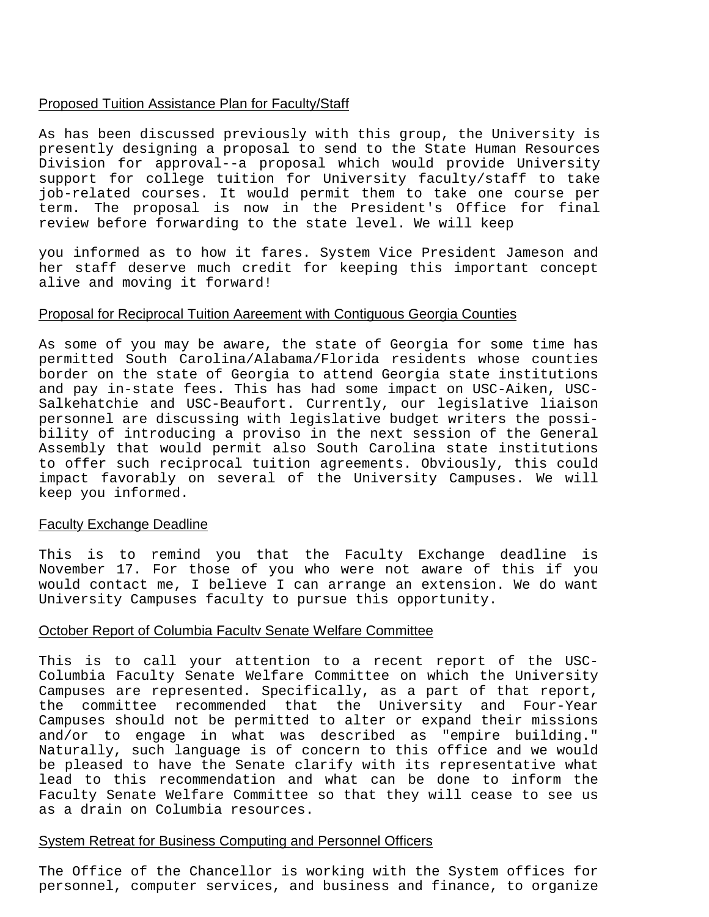# Proposed Tuition Assistance Plan for Faculty/Staff

As has been discussed previously with this group, the University is presently designing a proposal to send to the State Human Resources Division for approval--a proposal which would provide University support for college tuition for University faculty/staff to take job-related courses. It would permit them to take one course per term. The proposal is now in the President's Office for final review before forwarding to the state level. We will keep

you informed as to how it fares. System Vice President Jameson and her staff deserve much credit for keeping this important concept alive and moving it forward!

# Proposal for Reciprocal Tuition Aareement with Contiguous Georgia Counties

As some of you may be aware, the state of Georgia for some time has permitted South Carolina/Alabama/Florida residents whose counties border on the state of Georgia to attend Georgia state institutions and pay in-state fees. This has had some impact on USC-Aiken, USC-Salkehatchie and USC-Beaufort. Currently, our legislative liaison personnel are discussing with legislative budget writers the possibility of introducing a proviso in the next session of the General Assembly that would permit also South Carolina state institutions to offer such reciprocal tuition agreements. Obviously, this could impact favorably on several of the University Campuses. We will keep you informed.

# Faculty Exchange Deadline

This is to remind you that the Faculty Exchange deadline is November 17. For those of you who were not aware of this if you would contact me, I believe I can arrange an extension. We do want University Campuses faculty to pursue this opportunity.

# October Report of Columbia Facultv Senate Welfare Committee

This is to call your attention to a recent report of the USC-Columbia Faculty Senate Welfare Committee on which the University Campuses are represented. Specifically, as a part of that report, the committee recommended that the University and Four-Year Campuses should not be permitted to alter or expand their missions and/or to engage in what was described as "empire building." Naturally, such language is of concern to this office and we would be pleased to have the Senate clarify with its representative what lead to this recommendation and what can be done to inform the Faculty Senate Welfare Committee so that they will cease to see us as a drain on Columbia resources.

# System Retreat for Business Computing and Personnel Officers

The Office of the Chancellor is working with the System offices for personnel, computer services, and business and finance, to organize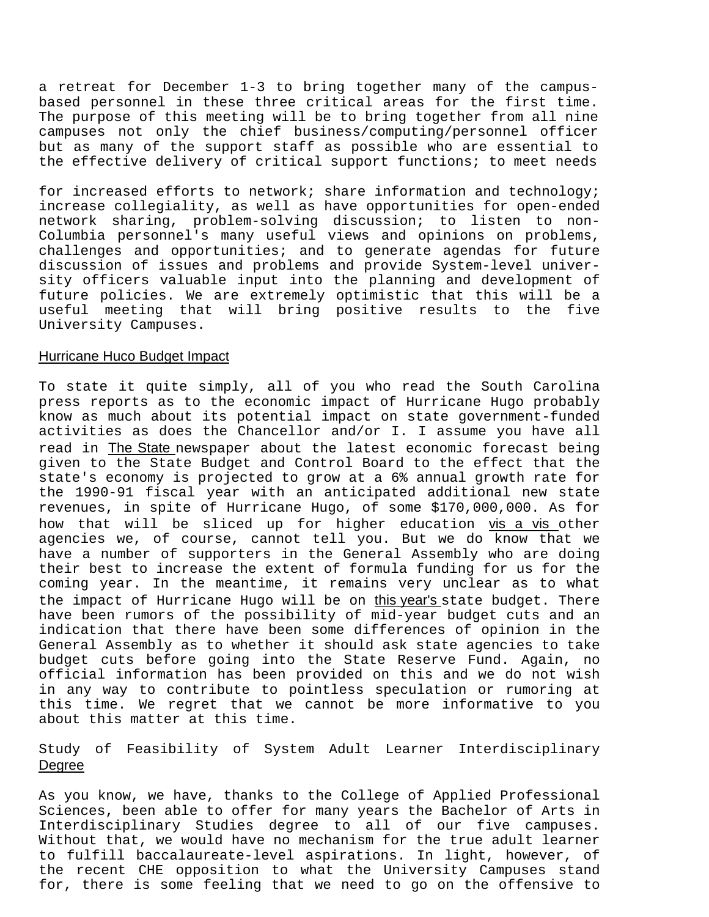a retreat for December 1-3 to bring together many of the campusbased personnel in these three critical areas for the first time. The purpose of this meeting will be to bring together from all nine campuses not only the chief business/computing/personnel officer but as many of the support staff as possible who are essential to the effective delivery of critical support functions; to meet needs

for increased efforts to network; share information and technology; increase collegiality, as well as have opportunities for open-ended network sharing, problem-solving discussion; to listen to non-Columbia personnel's many useful views and opinions on problems, challenges and opportunities; and to generate agendas for future discussion of issues and problems and provide System-level university officers valuable input into the planning and development of future policies. We are extremely optimistic that this will be a useful meeting that will bring positive results to the five University Campuses.

## Hurricane Huco Budget Impact

To state it quite simply, all of you who read the South Carolina press reports as to the economic impact of Hurricane Hugo probably know as much about its potential impact on state government-funded activities as does the Chancellor and/or I. I assume you have all read in The State newspaper about the latest economic forecast being given to the State Budget and Control Board to the effect that the state's economy is projected to grow at a 6% annual growth rate for the 1990-91 fiscal year with an anticipated additional new state revenues, in spite of Hurricane Hugo, of some \$170,000,000. As for how that will be sliced up for higher education vis a vis other agencies we, of course, cannot tell you. But we do know that we have a number of supporters in the General Assembly who are doing their best to increase the extent of formula funding for us for the coming year. In the meantime, it remains very unclear as to what the impact of Hurricane Hugo will be on this year's state budget. There have been rumors of the possibility of mid-year budget cuts and an indication that there have been some differences of opinion in the General Assembly as to whether it should ask state agencies to take budget cuts before going into the State Reserve Fund. Again, no official information has been provided on this and we do not wish in any way to contribute to pointless speculation or rumoring at this time. We regret that we cannot be more informative to you about this matter at this time.

# Study of Feasibility of System Adult Learner Interdisciplinary Degree

As you know, we have, thanks to the College of Applied Professional Sciences, been able to offer for many years the Bachelor of Arts in Interdisciplinary Studies degree to all of our five campuses. Without that, we would have no mechanism for the true adult learner to fulfill baccalaureate-level aspirations. In light, however, of the recent CHE opposition to what the University Campuses stand for, there is some feeling that we need to go on the offensive to